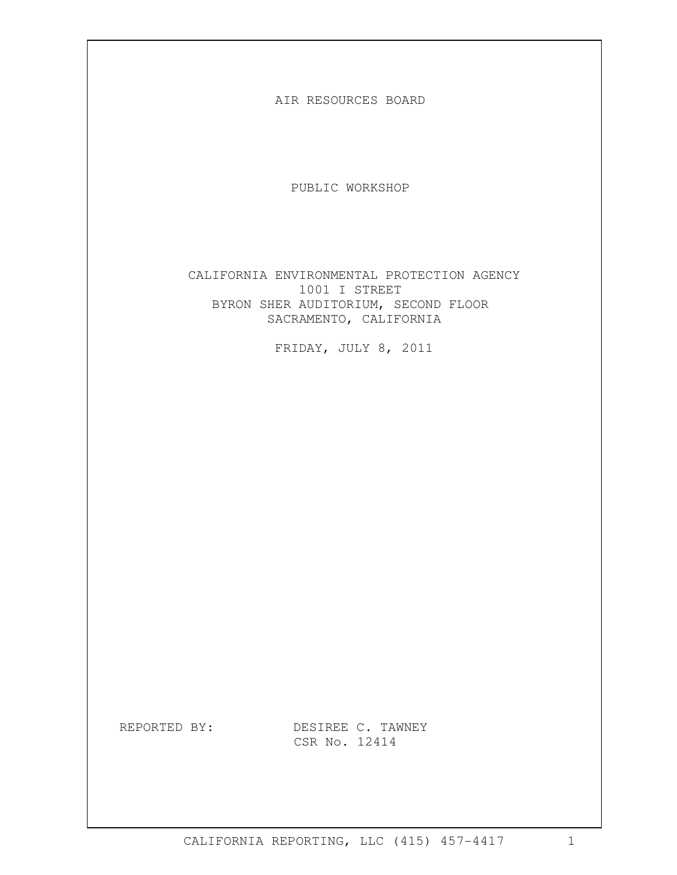AIR RESOURCES BOARD

PUBLIC WORKSHOP

CALIFORNIA ENVIRONMENTAL PROTECTION AGENCY 1001 I STREET BYRON SHER AUDITORIUM, SECOND FLOOR SACRAMENTO, CALIFORNIA

FRIDAY, JULY 8, 2011

REPORTED BY: DESIREE C. TAWNEY CSR No. 12414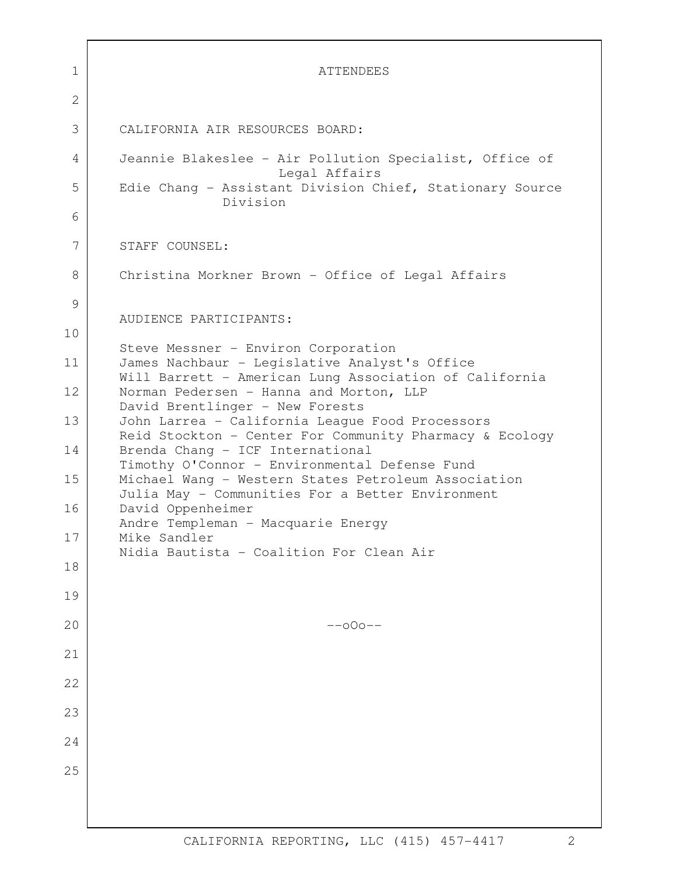| 1  | <b>ATTENDEES</b>                                                                                     |
|----|------------------------------------------------------------------------------------------------------|
| 2  |                                                                                                      |
| 3  | CALIFORNIA AIR RESOURCES BOARD:                                                                      |
| 4  | Jeannie Blakeslee - Air Pollution Specialist, Office of<br>Legal Affairs                             |
| 5  | Edie Chang - Assistant Division Chief, Stationary Source<br>Division                                 |
| 6  |                                                                                                      |
| 7  | STAFF COUNSEL:                                                                                       |
| 8  | Christina Morkner Brown - Office of Legal Affairs                                                    |
| 9  | AUDIENCE PARTICIPANTS:                                                                               |
| 10 |                                                                                                      |
| 11 | Steve Messner - Environ Corporation<br>James Nachbaur - Legislative Analyst's Office                 |
| 12 | Will Barrett - American Lung Association of California<br>Norman Pedersen - Hanna and Morton, LLP    |
| 13 | David Brentlinger - New Forests<br>John Larrea - California League Food Processors                   |
| 14 | Reid Stockton - Center For Community Pharmacy & Ecology<br>Brenda Chang - ICF International          |
| 15 | Timothy O'Connor - Environmental Defense Fund<br>Michael Wang - Western States Petroleum Association |
| 16 | Julia May - Communities For a Better Environment<br>David Oppenheimer                                |
| 17 | Andre Templeman - Macquarie Energy<br>Mike Sandler                                                   |
| 18 | Nidia Bautista - Coalition For Clean Air                                                             |
| 19 |                                                                                                      |
| 20 | $--000--$                                                                                            |
| 21 |                                                                                                      |
| 22 |                                                                                                      |
| 23 |                                                                                                      |
| 24 |                                                                                                      |
| 25 |                                                                                                      |
|    |                                                                                                      |
|    |                                                                                                      |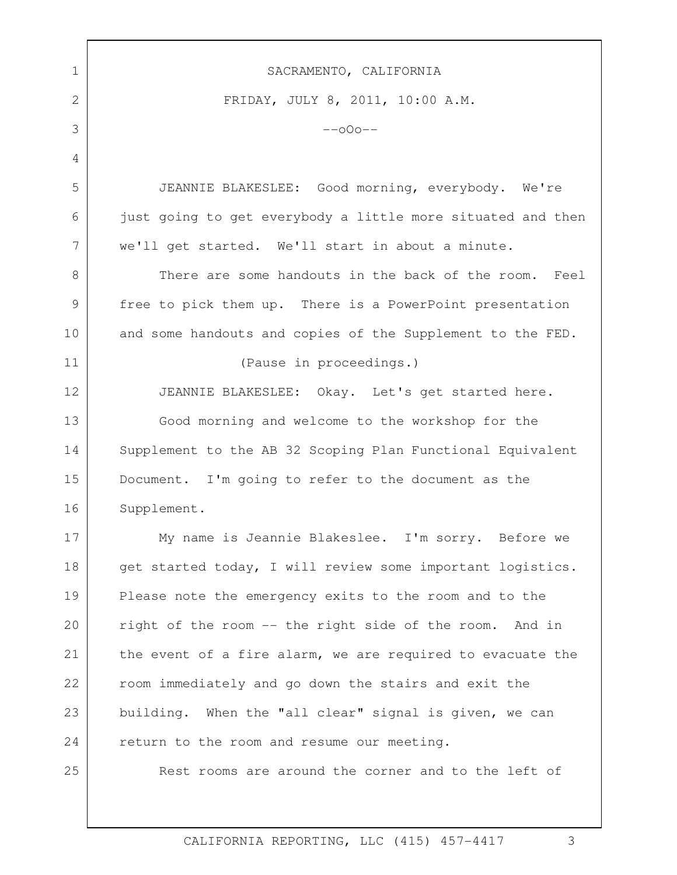| 1  | SACRAMENTO, CALIFORNIA                                      |
|----|-------------------------------------------------------------|
| 2  | FRIDAY, JULY 8, 2011, 10:00 A.M.                            |
| 3  | $-000-$                                                     |
| 4  |                                                             |
| 5  | JEANNIE BLAKESLEE: Good morning, everybody. We're           |
| 6  | just going to get everybody a little more situated and then |
| 7  | we'll get started. We'll start in about a minute.           |
| 8  | There are some handouts in the back of the room.<br>Feel    |
| 9  | free to pick them up. There is a PowerPoint presentation    |
| 10 | and some handouts and copies of the Supplement to the FED.  |
| 11 | (Pause in proceedings.)                                     |
| 12 | JEANNIE BLAKESLEE: Okay. Let's get started here.            |
| 13 | Good morning and welcome to the workshop for the            |
| 14 | Supplement to the AB 32 Scoping Plan Functional Equivalent  |
| 15 | Document. I'm going to refer to the document as the         |
| 16 | Supplement.                                                 |
| 17 | My name is Jeannie Blakeslee. I'm sorry. Before we          |
| 18 | get started today, I will review some important logistics.  |
| 19 | Please note the emergency exits to the room and to the      |
| 20 | right of the room -- the right side of the room. And in     |
| 21 | the event of a fire alarm, we are required to evacuate the  |
| 22 | room immediately and go down the stairs and exit the        |
| 23 | building. When the "all clear" signal is given, we can      |
| 24 | return to the room and resume our meeting.                  |
| 25 | Rest rooms are around the corner and to the left of         |
|    |                                                             |

Г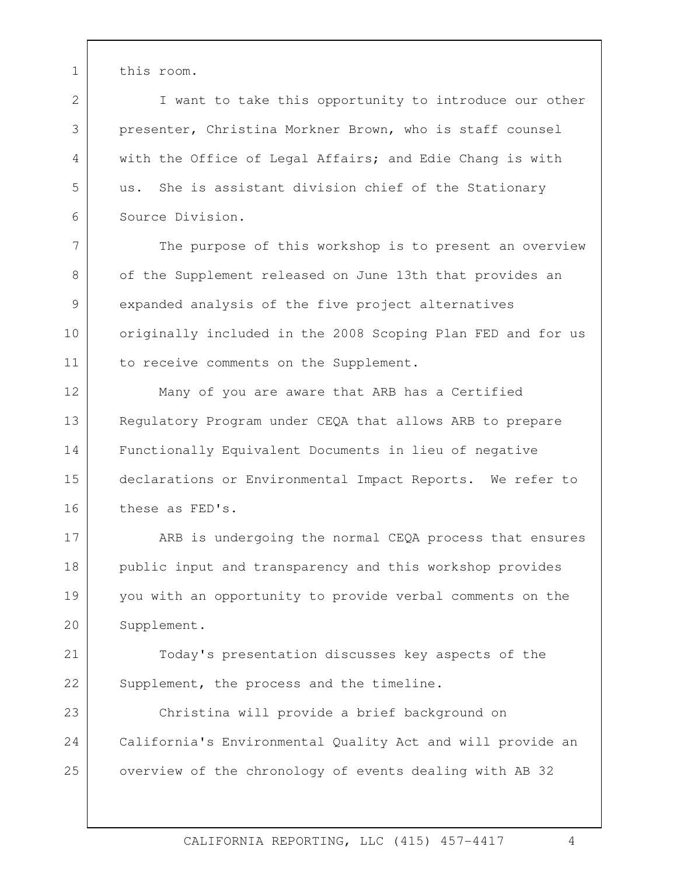1 this room.

2

3

4

5

6

7

8

9

10

11

I want to take this opportunity to introduce our other presenter, Christina Morkner Brown, who is staff counsel with the Office of Legal Affairs; and Edie Chang is with us. She is assistant division chief of the Stationary Source Division.

The purpose of this workshop is to present an overview of the Supplement released on June 13th that provides an expanded analysis of the five project alternatives originally included in the 2008 Scoping Plan FED and for us to receive comments on the Supplement.

 Regulatory Program under CEQA that allows ARB to prepare 12 13 14 15 16 Many of you are aware that ARB has a Certified Functionally Equivalent Documents in lieu of negative declarations or Environmental Impact Reports. We refer to these as FED's.

17 18 19  $20$ ARB is undergoing the normal CEQA process that ensures public input and transparency and this workshop provides you with an opportunity to provide verbal comments on the Supplement.

21 22 Today's presentation discusses key aspects of the Supplement, the process and the timeline.

23 24 25 Christina will provide a brief background on California's Environmental Quality Act and will provide an overview of the chronology of events dealing with AB 32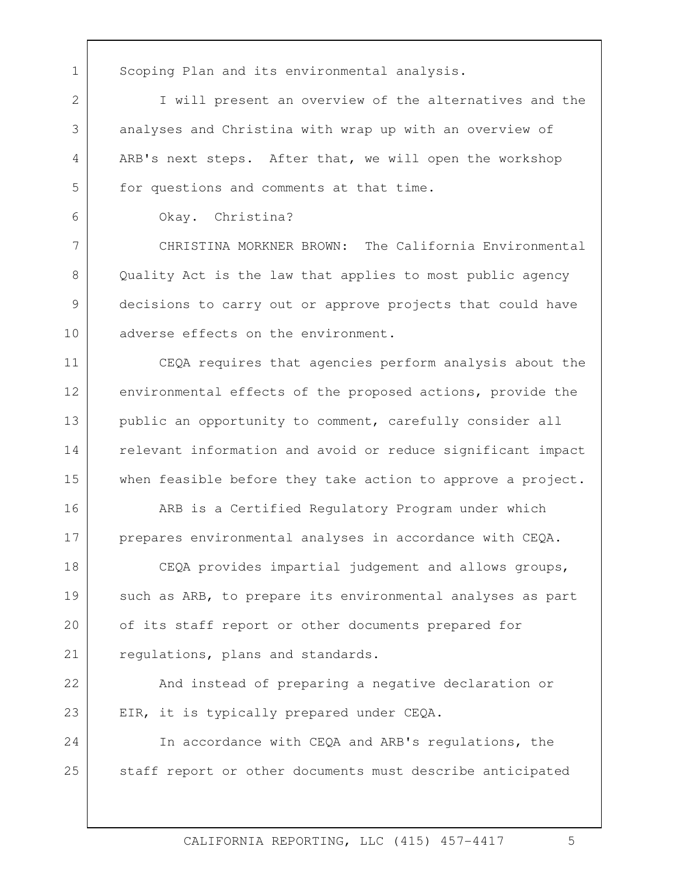1 Scoping Plan and its environmental analysis.

ARB's next steps. After that, we will open the workshop I will present an overview of the alternatives and the analyses and Christina with wrap up with an overview of for questions and comments at that time.

Okay. Christina?

2

3

4

5

6

7 8 9 10 CHRISTINA MORKNER BROWN: The California Environmental Quality Act is the law that applies to most public agency decisions to carry out or approve projects that could have adverse effects on the environment.

11 12 13 14 15 CEQA requires that agencies perform analysis about the environmental effects of the proposed actions, provide the public an opportunity to comment, carefully consider all relevant information and avoid or reduce significant impact when feasible before they take action to approve a project.

prepares environmental analyses in accordance with CEQA.<br>CEQA provides impartial judgement and allows groups, 16 17 ARB is a Certified Regulatory Program under which

18 19 20 21 such as ARB, to prepare its environmental analyses as part of its staff report or other documents prepared for regulations, plans and standards.

22 23 And instead of preparing a negative declaration or EIR, it is typically prepared under CEQA.<br>In accordance with CEQA and ARB's regulations, the

24 25 staff report or other documents must describe anticipated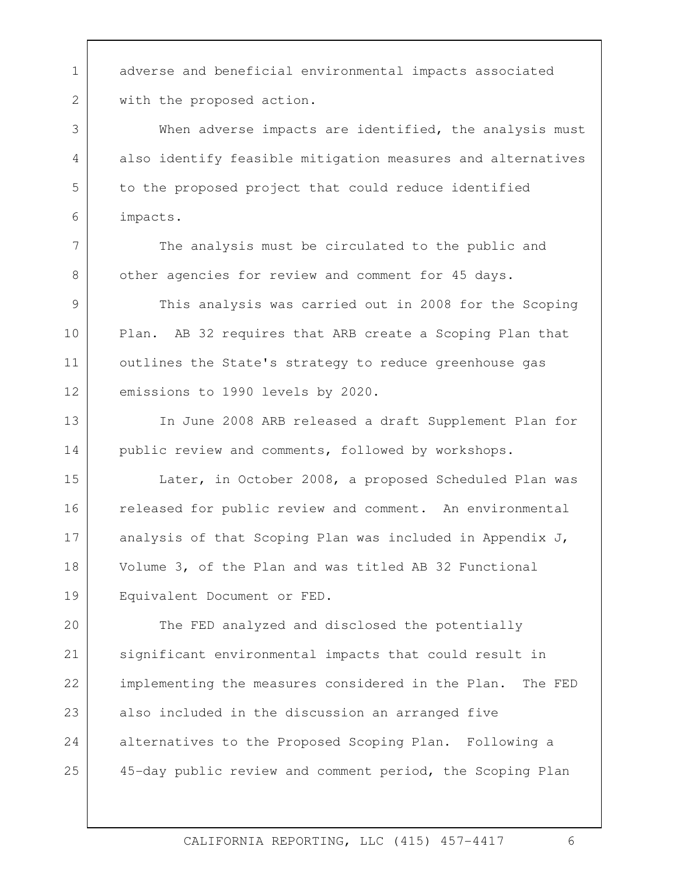1 adverse and beneficial environmental impacts associated with the proposed action.

2

3

4

5

6

7

8

When adverse impacts are identified, the analysis must also identify feasible mitigation measures and alternatives to the proposed project that could reduce identified impacts.<br>The analysis must be circulated to the public and

other agencies for review and comment for 45 days.

9 10 11 12 This analysis was carried out in 2008 for the Scoping Plan. AB 32 requires that ARB create a Scoping Plan that outlines the State's strategy to reduce greenhouse gas emissions to 1990 levels by 2020.

13 14 In June 2008 ARB released a draft Supplement Plan for public review and comments, followed by workshops.

Equivalent Document or FED. 15 16 17 18 19 Later, in October 2008, a proposed Scheduled Plan was released for public review and comment. An environmental analysis of that Scoping Plan was included in Appendix J, Volume 3, of the Plan and was titled AB 32 Functional

 $20$ 21 22 23 24 25 The FED analyzed and disclosed the potentially significant environmental impacts that could result in implementing the measures considered in the Plan. The FED also included in the discussion an arranged five alternatives to the Proposed Scoping Plan. Following a 45-day public review and comment period, the Scoping Plan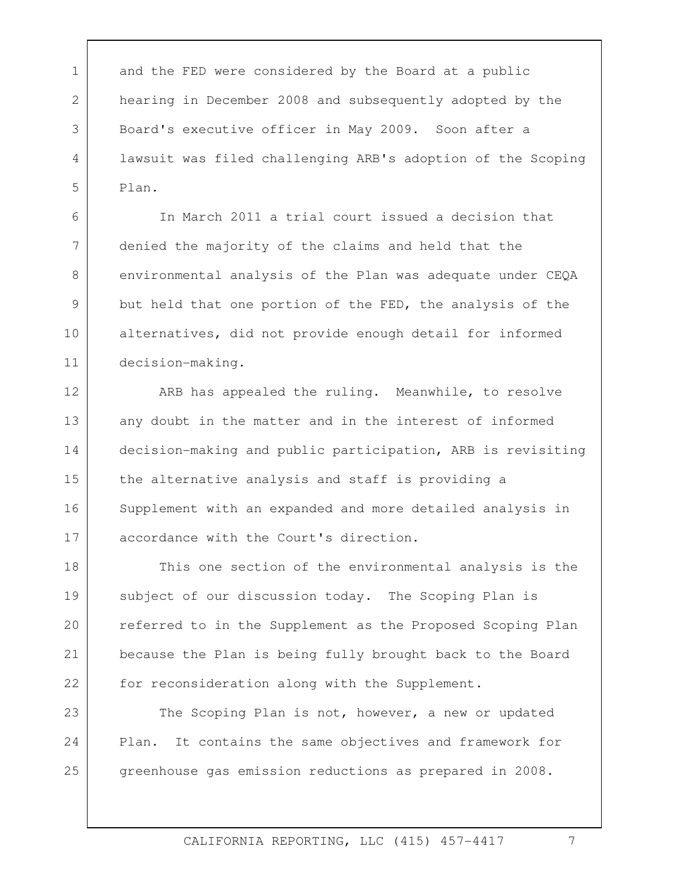1 and the FED were considered by the Board at a public 2 3 4 5 hearing in December 2008 and subsequently adopted by the Board's executive officer in May 2009. Soon after a lawsuit was filed challenging ARB's adoption of the Scoping Plan.

In March 2011 a trial court issued a decision that denied the majority of the claims and held that the environmental analysis of the Plan was adequate under CEQA but held that one portion of the FED, the analysis of the alternatives, did not provide enough detail for informed decision-making.

6

7

8

9

10

11

 decision-making and public participation, ARB is revisiting 12 13 14 15 16 17 ARB has appealed the ruling. Meanwhile, to resolve any doubt in the matter and in the interest of informed the alternative analysis and staff is providing a Supplement with an expanded and more detailed analysis in accordance with the Court's direction.

for reconsideration along with the Supplement. 18 19 20 21 22 This one section of the environmental analysis is the subject of our discussion today. The Scoping Plan is referred to in the Supplement as the Proposed Scoping Plan because the Plan is being fully brought back to the Board

23 24 25 The Scoping Plan is not, however, a new or updated Plan. It contains the same objectives and framework for greenhouse gas emission reductions as prepared in 2008.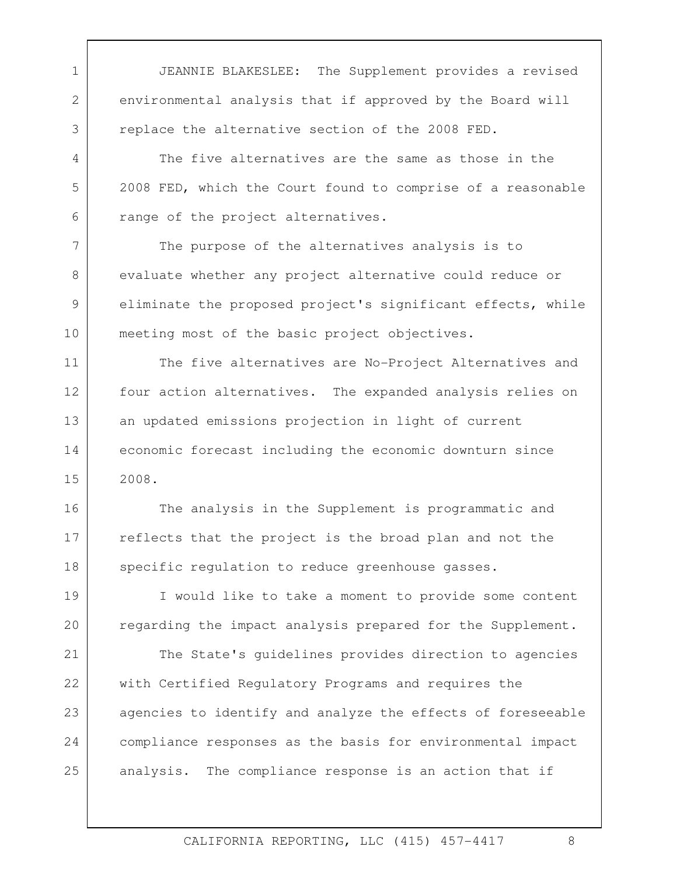1 JEANNIE BLAKESLEE: The Supplement provides a revised environmental analysis that if approved by the Board will replace the alternative section of the 2008 FED.

2

3

4

5

6

7

8

9

10

The five alternatives are the same as those in the 2008 FED, which the Court found to comprise of a reasonable range of the project alternatives.

The purpose of the alternatives analysis is to evaluate whether any project alternative could reduce or eliminate the proposed project's significant effects, while meeting most of the basic project objectives.

11 12 13 14 15 The five alternatives are No-Project Alternatives and four action alternatives. The expanded analysis relies on an updated emissions projection in light of current economic forecast including the economic downturn since 2008.

16 17 18 The analysis in the Supplement is programmatic and reflects that the project is the broad plan and not the specific regulation to reduce greenhouse gasses.

19 20 I would like to take a moment to provide some content regarding the impact analysis prepared for the Supplement.

21 22 23 24 25 The State's guidelines provides direction to agencies with Certified Regulatory Programs and requires the agencies to identify and analyze the effects of foreseeable compliance responses as the basis for environmental impact analysis. The compliance response is an action that if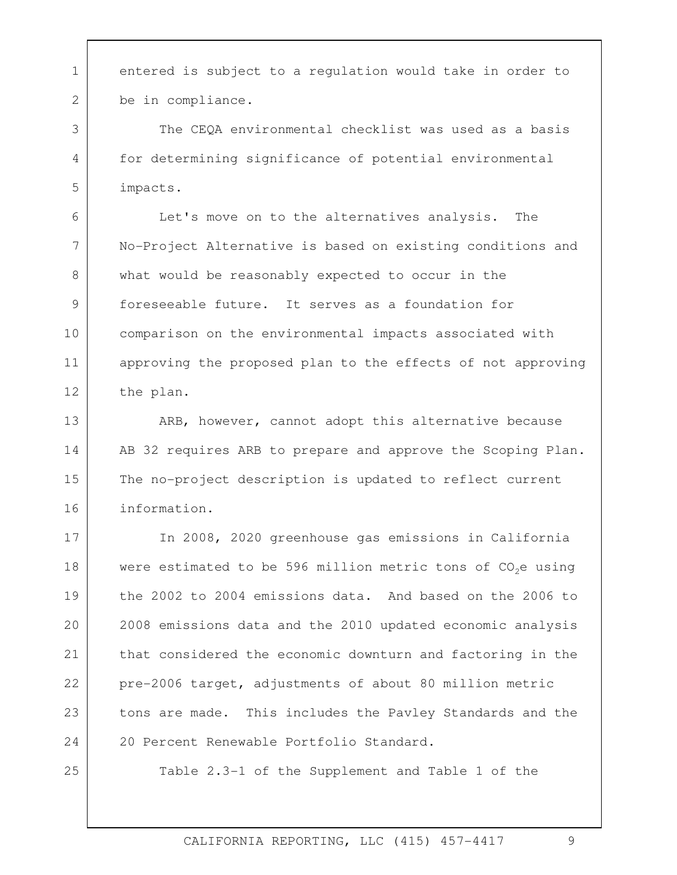1 entered is subject to a regulation would take in order to be in compliance.<br>The CEQA environmental checklist was used as a basis

for determining significance of potential environmental impacts. Let's move on to the alternatives analysis. The

6 7 8 9 10 11 12 No-Project Alternative is based on existing conditions and what would be reasonably expected to occur in the foreseeable future. It serves as a foundation for comparison on the environmental impacts associated with approving the proposed plan to the effects of not approving the plan.

ARB, however, cannot adopt this alternative because 13 14 15 16 AB 32 requires ARB to prepare and approve the Scoping Plan. The no-project description is updated to reflect current information.

 the 2002 to 2004 emissions data. And based on the 2006 to 17 18 19  $20$ 21 22 23 24 In 2008, 2020 greenhouse gas emissions in California were estimated to be 596 million metric tons of CO<sub>2</sub>e using 2008 emissions data and the 2010 updated economic analysis that considered the economic downturn and factoring in the pre-2006 target, adjustments of about 80 million metric tons are made. This includes the Pavley Standards and the 20 Percent Renewable Portfolio Standard.

25

2

3

4

5

Table 2.3-1 of the Supplement and Table 1 of the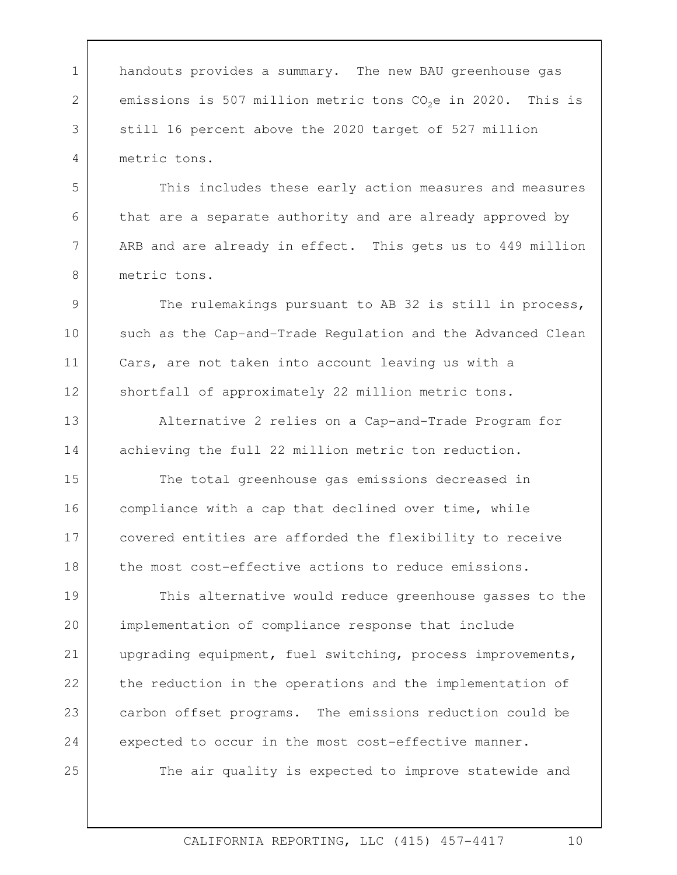1 handouts provides a summary. The new BAU greenhouse gas 2 3 4 emissions is 507 million metric tons  $CO<sub>2</sub>e$  in 2020. This is still 16 percent above the 2020 target of 527 million metric tons.

5

6

7

8

25

This includes these early action measures and measures that are a separate authority and are already approved by ARB and are already in effect. This gets us to 449 million metric tons.

9 10 11 12 The rulemakings pursuant to AB 32 is still in process, such as the Cap-and-Trade Regulation and the Advanced Clean Cars, are not taken into account leaving us with a shortfall of approximately 22 million metric tons.

13 14 Alternative 2 relies on a Cap-and-Trade Program for achieving the full 22 million metric ton reduction.<br>The total greenhouse gas emissions decreased in

15 16 17 18 compliance with a cap that declined over time, while covered entities are afforded the flexibility to receive the most cost-effective actions to reduce emissions.

19 20 21 22 23 24 This alternative would reduce greenhouse gasses to the implementation of compliance response that include upgrading equipment, fuel switching, process improvements, the reduction in the operations and the implementation of carbon offset programs. The emissions reduction could be expected to occur in the most cost-effective manner.

The air quality is expected to improve statewide and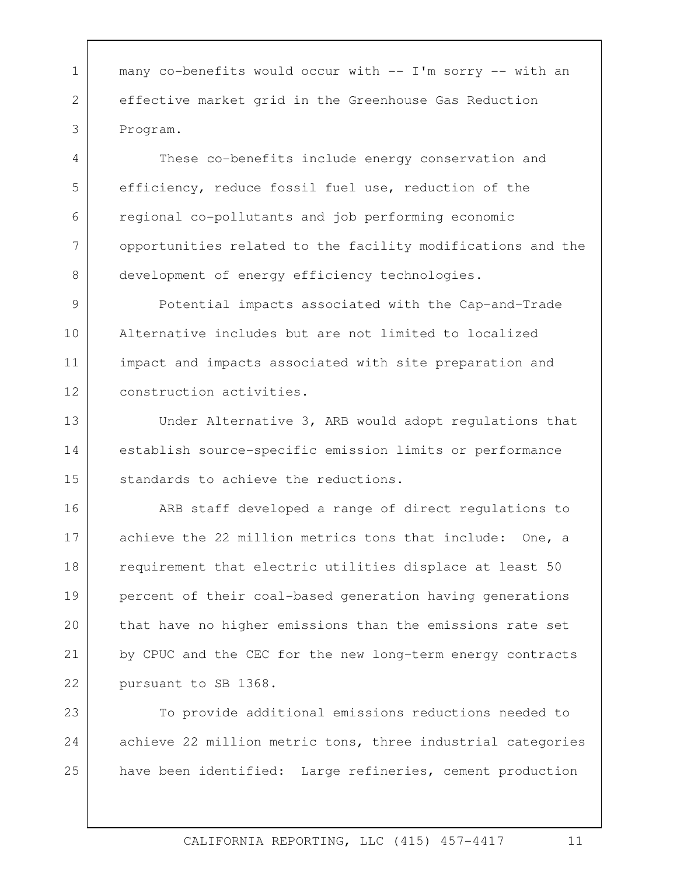1 | many co-benefits would occur with -- I'm sorry -- with an effective market grid in the Greenhouse Gas Reduction Program.

2

3

4

5

6

7

8

These co-benefits include energy conservation and efficiency, reduce fossil fuel use, reduction of the regional co-pollutants and job performing economic opportunities related to the facility modifications and the development of energy efficiency technologies.

9 10 11 12 Potential impacts associated with the Cap-and-Trade Alternative includes but are not limited to localized impact and impacts associated with site preparation and construction activities.

13 14 15 Under Alternative 3, ARB would adopt regulations that establish source-specific emission limits or performance standards to achieve the reductions.

16 17 18 19 20 21 22 ARB staff developed a range of direct regulations to achieve the 22 million metrics tons that include: One, a requirement that electric utilities displace at least 50 percent of their coal-based generation having generations that have no higher emissions than the emissions rate set by CPUC and the CEC for the new long-term energy contracts pursuant to SB 1368.

23 24 25 To provide additional emissions reductions needed to achieve 22 million metric tons, three industrial categories have been identified: Large refineries, cement production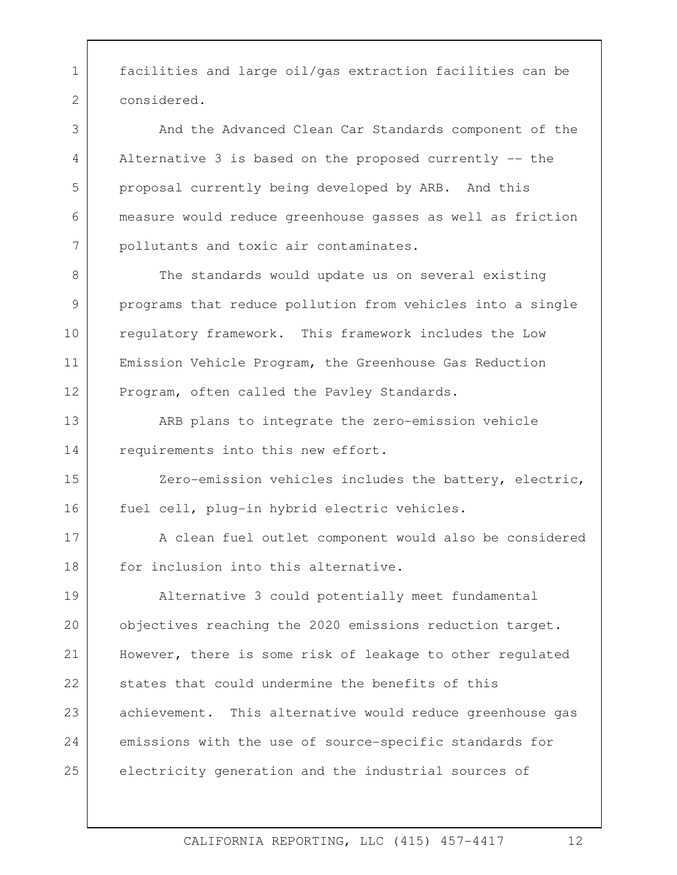1 facilities and large oil/gas extraction facilities can be considered.

2

3

4

5

6

7

And the Advanced Clean Car Standards component of the Alternative 3 is based on the proposed currently -- the proposal currently being developed by ARB. And this measure would reduce greenhouse gasses as well as friction pollutants and toxic air contaminates.

8 9 10 11 12 The standards would update us on several existing programs that reduce pollution from vehicles into a single regulatory framework. This framework includes the Low Emission Vehicle Program, the Greenhouse Gas Reduction Program, often called the Pavley Standards.

13 14 ARB plans to integrate the zero-emission vehicle requirements into this new effort.

15 16 Zero-emission vehicles includes the battery, electric, fuel cell, plug-in hybrid electric vehicles.

17 18 A clean fuel outlet component would also be considered for inclusion into this alternative.

objectives reaching the 2020 emissions reduction target. 19 20 21 22 23 24 25 Alternative 3 could potentially meet fundamental However, there is some risk of leakage to other regulated states that could undermine the benefits of this achievement. This alternative would reduce greenhouse gas emissions with the use of source-specific standards for electricity generation and the industrial sources of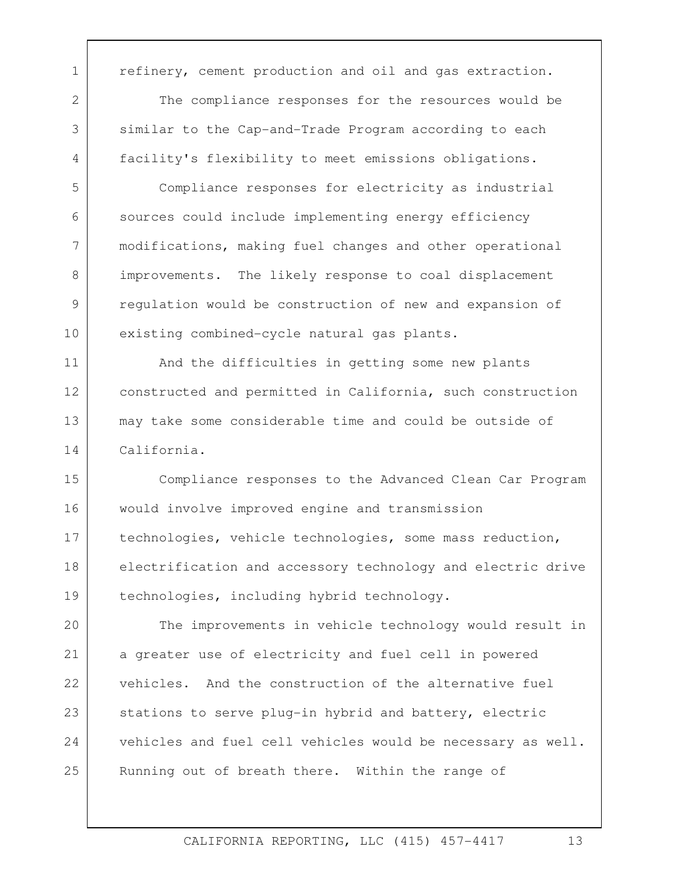1 | refinery, cement production and oil and gas extraction. 2 3 4 5 6 The compliance responses for the resources would be similar to the Cap-and-Trade Program according to each facility's flexibility to meet emissions obligations. Compliance responses for electricity as industrial

sources could include implementing energy efficiency modifications, making fuel changes and other operational improvements. The likely response to coal displacement regulation would be construction of new and expansion of existing combined-cycle natural gas plants.

7

8

9

10

11 12 13 14 And the difficulties in getting some new plants constructed and permitted in California, such construction may take some considerable time and could be outside of California.

 Compliance responses to the Advanced Clean Car Program 15 16 17 18 19 would involve improved engine and transmission technologies, vehicle technologies, some mass reduction, electrification and accessory technology and electric drive technologies, including hybrid technology.

 $20$ 21 22 23 24 25 The improvements in vehicle technology would result in a greater use of electricity and fuel cell in powered vehicles. And the construction of the alternative fuel stations to serve plug-in hybrid and battery, electric vehicles and fuel cell vehicles would be necessary as well. Running out of breath there. Within the range of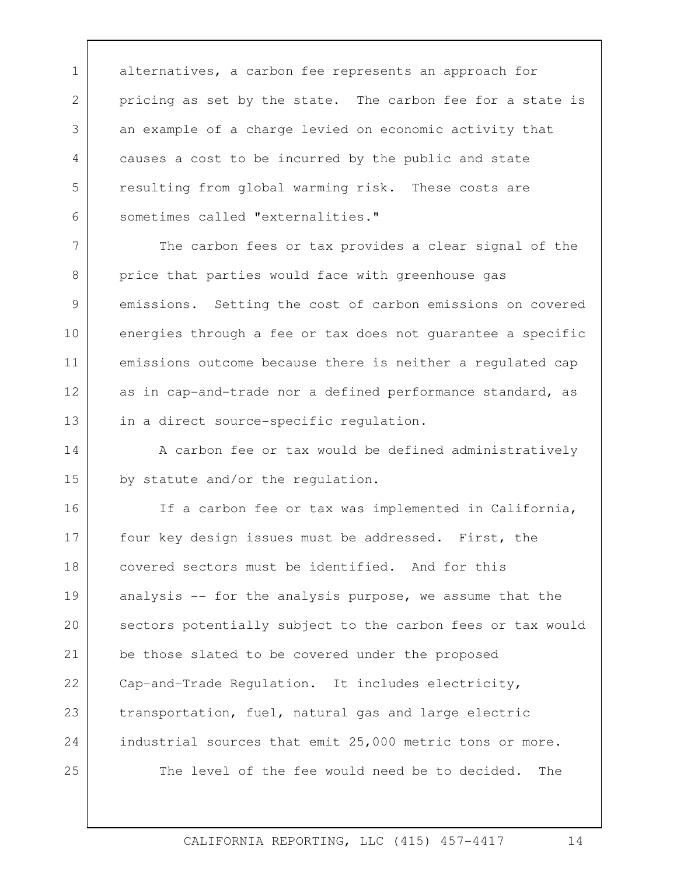1 alternatives, a carbon fee represents an approach for 2 3 4 5 6 pricing as set by the state. The carbon fee for a state is an example of a charge levied on economic activity that causes a cost to be incurred by the public and state resulting from global warming risk. These costs are sometimes called "externalities."

7 8 9 10 11 12 13 The carbon fees or tax provides a clear signal of the price that parties would face with greenhouse gas emissions. Setting the cost of carbon emissions on covered energies through a fee or tax does not guarantee a specific emissions outcome because there is neither a regulated cap as in cap-and-trade nor a defined performance standard, as in a direct source-specific regulation.

14 15 A carbon fee or tax would be defined administratively by statute and/or the regulation.

industrial sources that emit 25,000 metric tons or more.<br>The level of the fee would need be to decided. The 16 17 18 19  $20$ 21 22 23 24 25 If a carbon fee or tax was implemented in California, four key design issues must be addressed. First, the covered sectors must be identified. And for this analysis -- for the analysis purpose, we assume that the sectors potentially subject to the carbon fees or tax would be those slated to be covered under the proposed Cap-and-Trade Regulation. It includes electricity, transportation, fuel, natural gas and large electric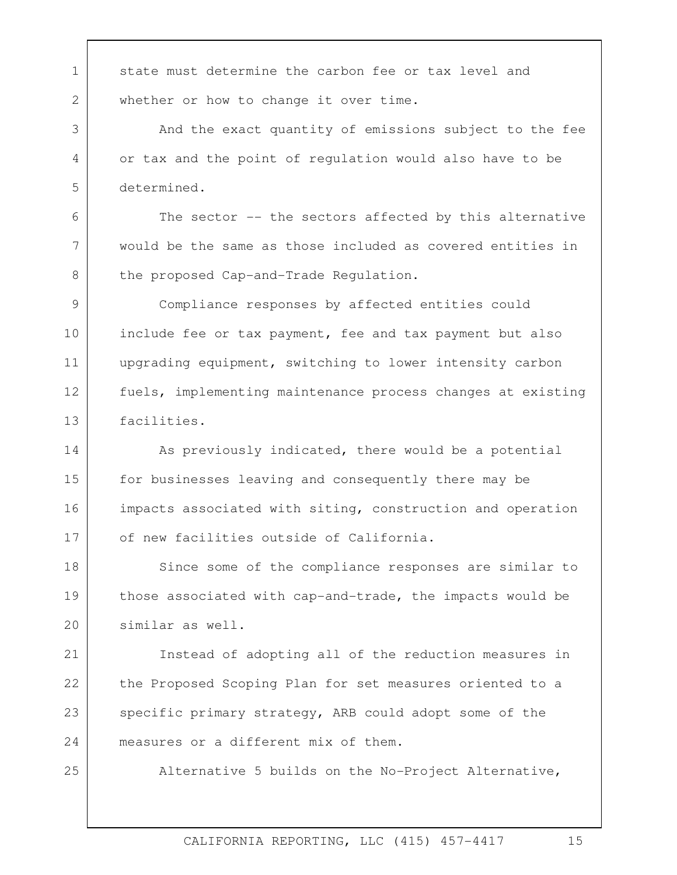1 state must determine the carbon fee or tax level and whether or how to change it over time.

2

3

4

5

6

7

8

25

And the exact quantity of emissions subject to the fee or tax and the point of regulation would also have to be determined.

The sector -- the sectors affected by this alternative would be the same as those included as covered entities in the proposed Cap-and-Trade Regulation.

9 10 11 12 13 Compliance responses by affected entities could include fee or tax payment, fee and tax payment but also upgrading equipment, switching to lower intensity carbon fuels, implementing maintenance process changes at existing facilities.

14 15 16 17 As previously indicated, there would be a potential for businesses leaving and consequently there may be impacts associated with siting, construction and operation of new facilities outside of California.

18 19 20 Since some of the compliance responses are similar to those associated with cap-and-trade, the impacts would be similar as well.

21 22 23 24 Instead of adopting all of the reduction measures in the Proposed Scoping Plan for set measures oriented to a specific primary strategy, ARB could adopt some of the measures or a different mix of them.

Alternative 5 builds on the No-Project Alternative,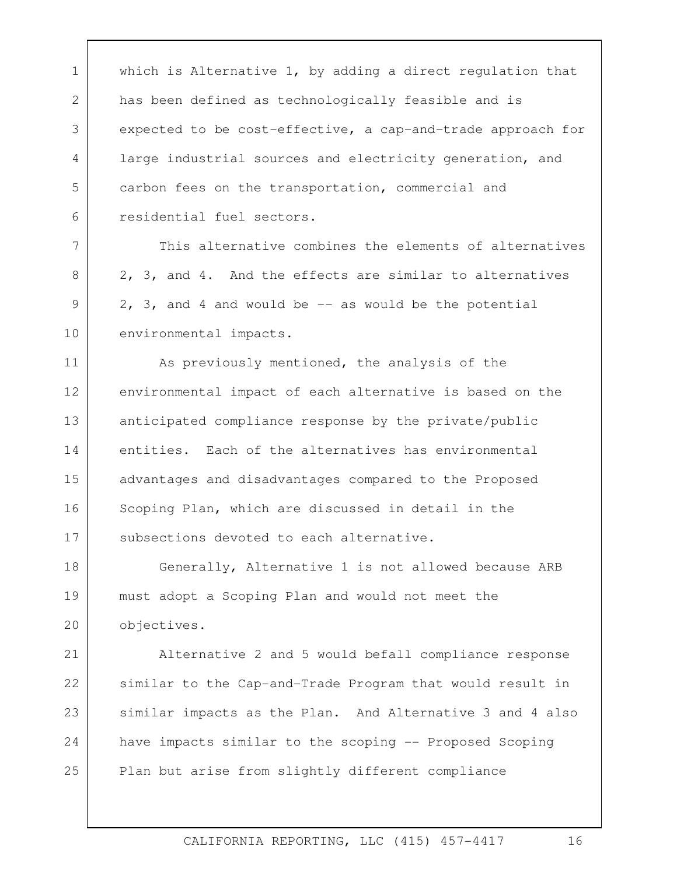1 which is Alternative 1, by adding a direct regulation that 2 3 4 5 6 has been defined as technologically feasible and is expected to be cost-effective, a cap-and-trade approach for large industrial sources and electricity generation, and carbon fees on the transportation, commercial and residential fuel sectors.

This alternative combines the elements of alternatives 2, 3, and 4. And the effects are similar to alternatives  $2, 3,$  and 4 and would be  $-$  as would be the potential environmental impacts.<br>As previously mentioned, the analysis of the

7

8

9

10

11 12 13 14 15 16 17 environmental impact of each alternative is based on the anticipated compliance response by the private/public entities. Each of the alternatives has environmental advantages and disadvantages compared to the Proposed Scoping Plan, which are discussed in detail in the subsections devoted to each alternative.

18 19 20 Generally, Alternative 1 is not allowed because ARB must adopt a Scoping Plan and would not meet the objectives.

21 22 23 24 25 Alternative 2 and 5 would befall compliance response similar to the Cap-and-Trade Program that would result in similar impacts as the Plan. And Alternative 3 and 4 also have impacts similar to the scoping -- Proposed Scoping Plan but arise from slightly different compliance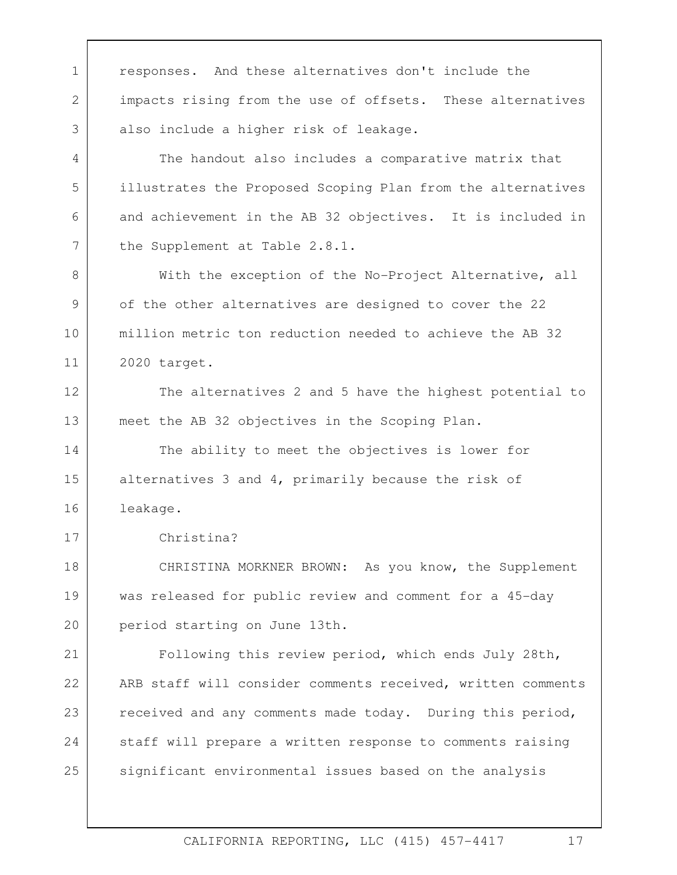1 responses. And these alternatives don't include the 2 3 4 5 6 7 8 9 10 11 12 13 14 15 16 17 18 19 20 21 22 23 24 25 impacts rising from the use of offsets. These alternatives also include a higher risk of leakage. The handout also includes a comparative matrix that illustrates the Proposed Scoping Plan from the alternatives and achievement in the AB 32 objectives. It is included in the Supplement at Table 2.8.1. With the exception of the No-Project Alternative, all of the other alternatives are designed to cover the 22 million metric ton reduction needed to achieve the AB 32 2020 target. The alternatives 2 and 5 have the highest potential to meet the AB 32 objectives in the Scoping Plan. The ability to meet the objectives is lower for alternatives 3 and 4, primarily because the risk of leakage. Christina? CHRISTINA MORKNER BROWN: As you know, the Supplement was released for public review and comment for a 45-day period starting on June 13th. Following this review period, which ends July 28th, ARB staff will consider comments received, written comments received and any comments made today. During this period, staff will prepare a written response to comments raising significant environmental issues based on the analysis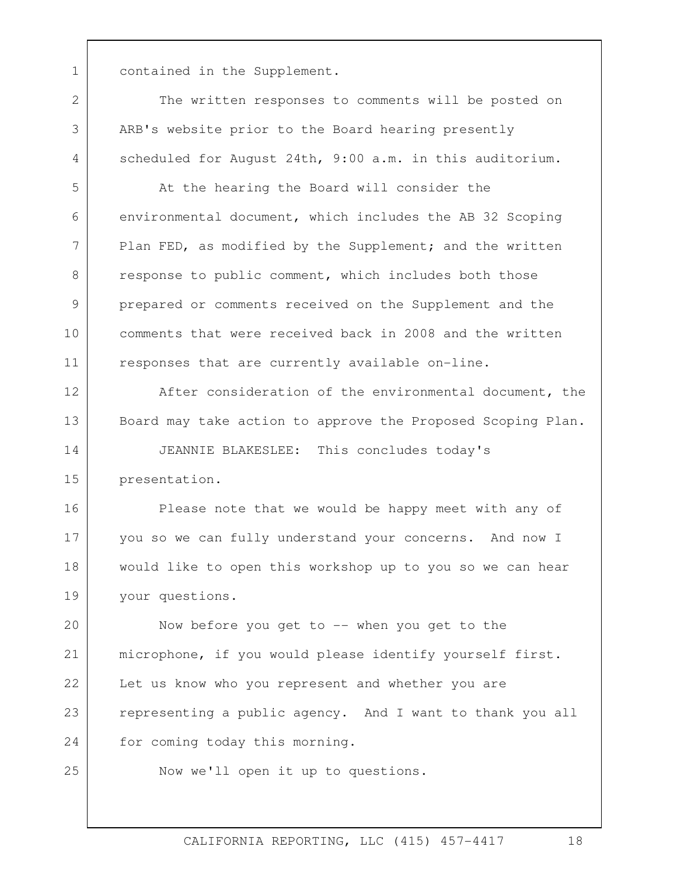1 contained in the Supplement.

scheduled for August 24th, 9:00 a.m. in this auditorium.<br>At the hearing the Board will consider the The written responses to comments will be posted on ARB's website prior to the Board hearing presently

environmental document, which includes the AB 32 Scoping Plan FED, as modified by the Supplement; and the written response to public comment, which includes both those prepared or comments received on the Supplement and the comments that were received back in 2008 and the written responses that are currently available on-line.

After consideration of the environmental document, the Board may take action to approve the Proposed Scoping Plan.

14 15 JEANNIE BLAKESLEE: This concludes today's presentation.

 you so we can fully understand your concerns. And now I 16 17 18 19 Please note that we would be happy meet with any of would like to open this workshop up to you so we can hear your questions.

microphone, if you would please identify yourself first.<br>Let us know who you represent and whether you are  $20$ 21 22 23 24 Now before you get to -- when you get to the representing a public agency. And I want to thank you all for coming today this morning.

25

2

3

4

5

6

7

8

9

10

11

12

13

Now we'll open it up to questions.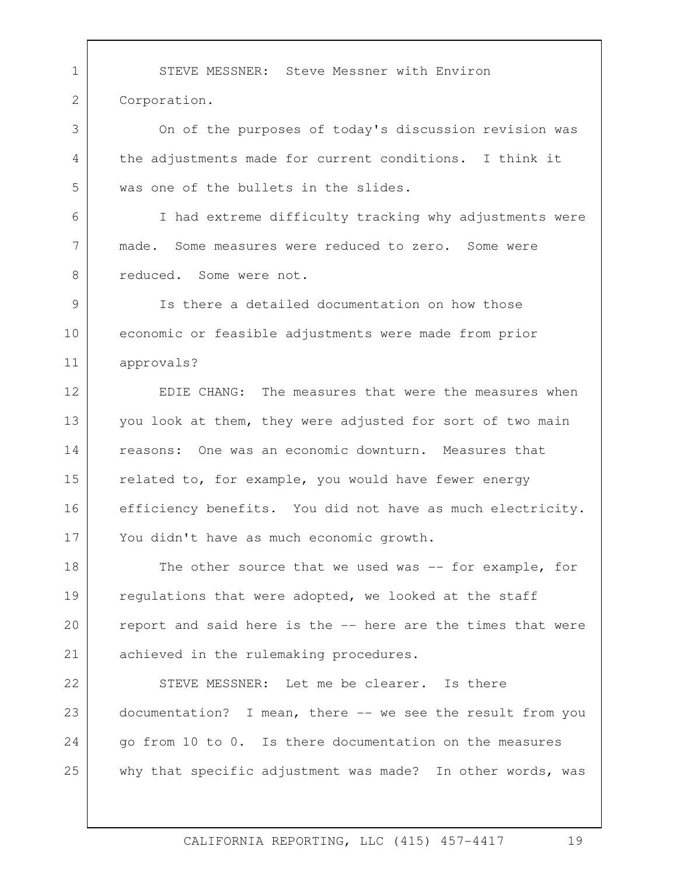1 STEVE MESSNER: Steve Messner with Environ 2 3 4 5 6 7 8 9 10 11 12 13 14 15 16 17 18 19  $20$ 21 22 23 24 25 Corporation. On of the purposes of today's discussion revision was the adjustments made for current conditions. I think it was one of the bullets in the slides.<br>I had extreme difficulty tracking why adjustments were made. Some measures were reduced to zero. Some were reduced. Some were not. Is there a detailed documentation on how those economic or feasible adjustments were made from prior approvals? EDIE CHANG: The measures that were the measures when you look at them, they were adjusted for sort of two main reasons: One was an economic downturn. Measures that related to, for example, you would have fewer energy efficiency benefits. You did not have as much electricity. You didn't have as much economic growth. The other source that we used was  $-$  for example, for regulations that were adopted, we looked at the staff report and said here is the -- here are the times that were achieved in the rulemaking procedures. STEVE MESSNER: Let me be clearer. Is there documentation? I mean, there -- we see the result from you go from 10 to 0. Is there documentation on the measures why that specific adjustment was made? In other words, was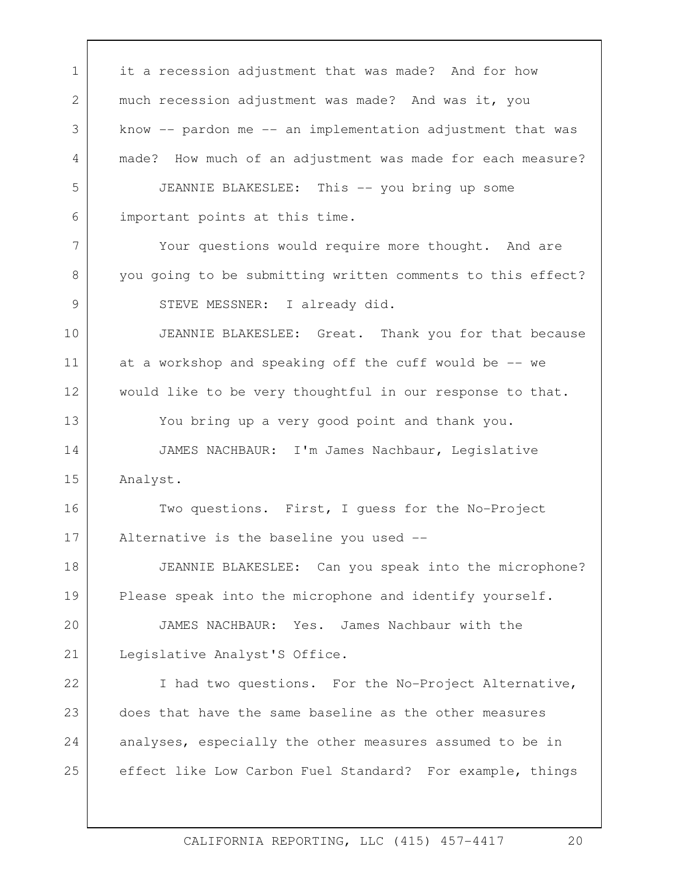1 it a recession adjustment that was made? And for how 2 3 4 5 6 7 8 9 10 11 12 13 14 15 16 17 18 19  $20$ 21 22 23 24 25 much recession adjustment was made? And was it, you know -- pardon me -- an implementation adjustment that was made? How much of an adjustment was made for each measure? JEANNIE BLAKESLEE: This -- you bring up some important points at this time. Your questions would require more thought. And are you going to be submitting written comments to this effect? STEVE MESSNER: I already did. JEANNIE BLAKESLEE: Great. Thank you for that because at a workshop and speaking off the cuff would be -- we would like to be very thoughtful in our response to that. You bring up a very good point and thank you. JAMES NACHBAUR: I'm James Nachbaur, Legislative Analyst.<br>Two questions. First, I guess for the No-Project Alternative is the baseline you used -- JEANNIE BLAKESLEE: Can you speak into the microphone? Please speak into the microphone and identify yourself. JAMES NACHBAUR: Yes. James Nachbaur with the Legislative Analyst'S Office. I had two questions. For the No-Project Alternative, does that have the same baseline as the other measures analyses, especially the other measures assumed to be in effect like Low Carbon Fuel Standard? For example, things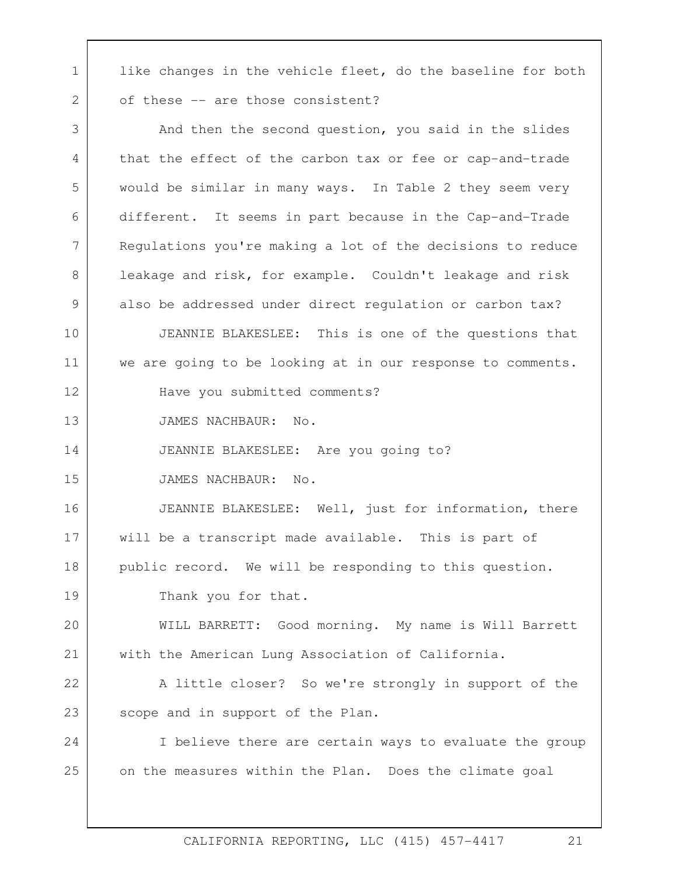1 like changes in the vehicle fleet, do the baseline for both of these -- are those consistent?

2

 also be addressed under direct regulation or carbon tax? JEANNIE BLAKESLEE: This is one of the questions that 3 4 5 6 7 8 9 10 11 12 13 14 15 16 17 18 19  $20$ 21 22 23 24 25 And then the second question, you said in the slides that the effect of the carbon tax or fee or cap-and-trade would be similar in many ways. In Table 2 they seem very different. It seems in part because in the Cap-and-Trade Regulations you're making a lot of the decisions to reduce leakage and risk, for example. Couldn't leakage and risk we are going to be looking at in our response to comments. Have you submitted comments? JAMES NACHBAUR: No. JEANNIE BLAKESLEE: Are you going to? JAMES NACHBAUR: No. JEANNIE BLAKESLEE: Well, just for information, there will be a transcript made available. This is part of public record. We will be responding to this question. Thank you for that. WILL BARRETT: Good morning. My name is Will Barrett with the American Lung Association of California. A little closer? So we're strongly in support of the scope and in support of the Plan. I believe there are certain ways to evaluate the group on the measures within the Plan. Does the climate goal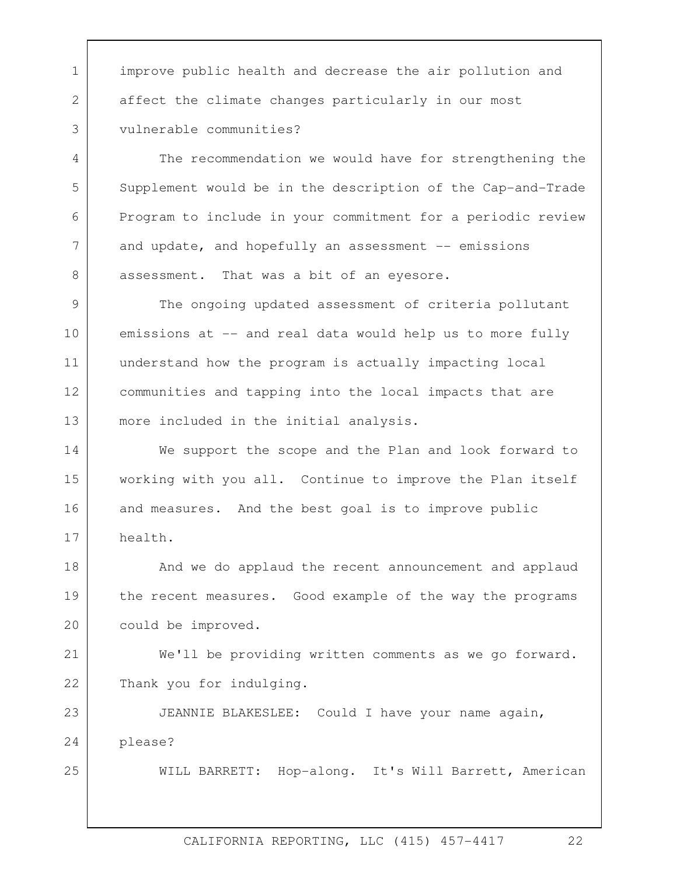1 improve public health and decrease the air pollution and affect the climate changes particularly in our most vulnerable communities?

The recommendation we would have for strengthening the Supplement would be in the description of the Cap-and-Trade Program to include in your commitment for a periodic review and update, and hopefully an assessment -- emissions assessment. That was a bit of an eyesore.

9 10 11 12 13 The ongoing updated assessment of criteria pollutant emissions at -- and real data would help us to more fully understand how the program is actually impacting local communities and tapping into the local impacts that are more included in the initial analysis.

 and measures. And the best goal is to improve public 14 15 16 17 We support the scope and the Plan and look forward to working with you all. Continue to improve the Plan itself health.

18 19 20 And we do applaud the recent announcement and applaud the recent measures. Good example of the way the programs could be improved.

21 22 We'll be providing written comments as we go forward. Thank you for indulging.

23 24 JEANNIE BLAKESLEE: Could I have your name again, please?

25

2

3

4

5

6

7

8

WILL BARRETT: Hop-along. It's Will Barrett, American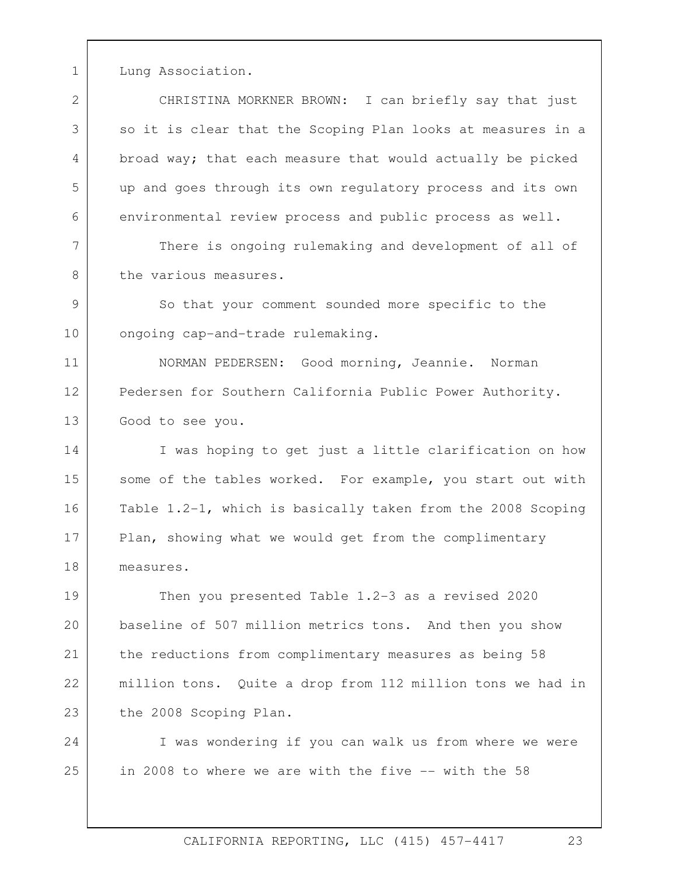1 Lung Association.

 environmental review process and public process as well. There is ongoing rulemaking and development of all of 2 3 4 5 6 CHRISTINA MORKNER BROWN: I can briefly say that just so it is clear that the Scoping Plan looks at measures in a broad way; that each measure that would actually be picked up and goes through its own regulatory process and its own

7 8 the various measures.

9 10 So that your comment sounded more specific to the ongoing cap-and-trade rulemaking.

11 12 13 NORMAN PEDERSEN: Good morning, Jeannie. Norman Pedersen for Southern California Public Power Authority. Good to see you.

14 15 16 17 18 I was hoping to get just a little clarification on how some of the tables worked. For example, you start out with Table 1.2-1, which is basically taken from the 2008 Scoping Plan, showing what we would get from the complimentary measures.

 baseline of 507 million metrics tons. And then you show 19 20 21 22 23 Then you presented Table 1.2-3 as a revised 2020 the reductions from complimentary measures as being 58 million tons. Quite a drop from 112 million tons we had in the 2008 Scoping Plan.<br>I was wondering if you can walk us from where we were

24 25 in 2008 to where we are with the five -- with the 58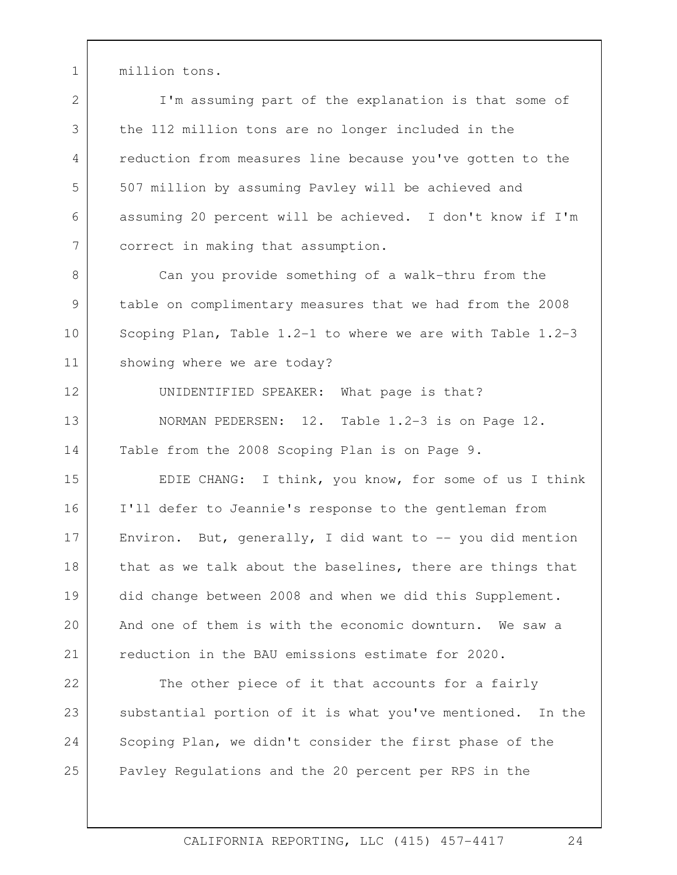1 million tons.

2 3 4 5 6 7 I'm assuming part of the explanation is that some of the 112 million tons are no longer included in the reduction from measures line because you've gotten to the 507 million by assuming Pavley will be achieved and assuming 20 percent will be achieved. I don't know if I'm correct in making that assumption.

showing where we are today? 8 9 10 11 Can you provide something of a walk-thru from the table on complimentary measures that we had from the 2008 Scoping Plan, Table 1.2-1 to where we are with Table 1.2-3

12 13 14 UNIDENTIFIED SPEAKER: What page is that? NORMAN PEDERSEN: 12. Table 1.2-3 is on Page 12. Table from the 2008 Scoping Plan is on Page 9.

did change between 2008 and when we did this Supplement.<br>And one of them is with the economic downturn. We saw a 15 16 17 18 19 20 21 EDIE CHANG: I think, you know, for some of us I think I'll defer to Jeannie's response to the gentleman from Environ. But, generally, I did want to  $-$ - you did mention that as we talk about the baselines, there are things that reduction in the BAU emissions estimate for 2020.

22 23 24 25 The other piece of it that accounts for a fairly substantial portion of it is what you've mentioned. In the Scoping Plan, we didn't consider the first phase of the Pavley Regulations and the 20 percent per RPS in the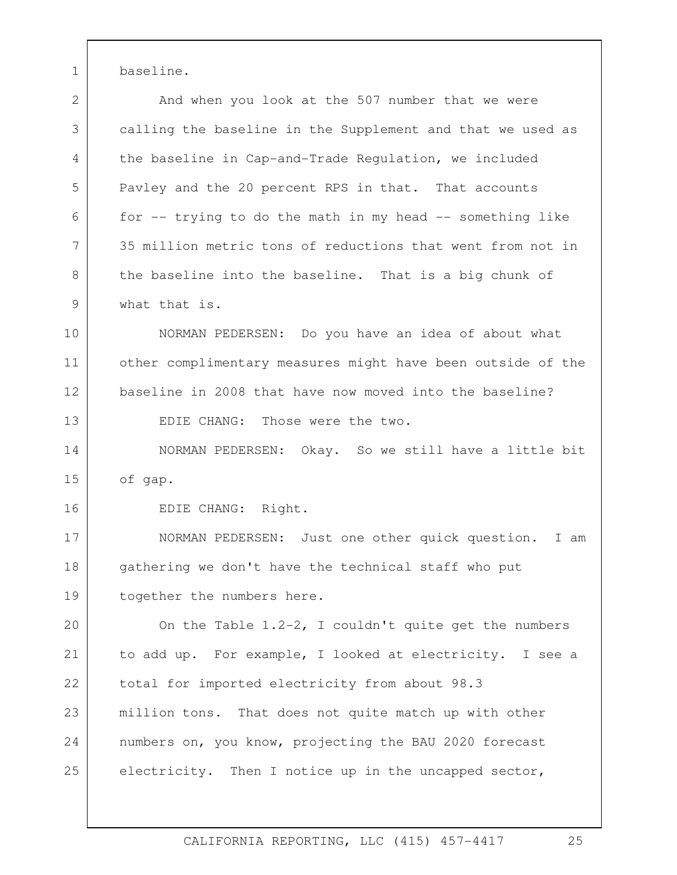1 baseline.

2 And when you look at the 507 number that we were 3 4 5 6 7 8 9 calling the baseline in the Supplement and that we used as the baseline in Cap-and-Trade Regulation, we included Pavley and the 20 percent RPS in that. That accounts for -- trying to do the math in my head -- something like 35 million metric tons of reductions that went from not in the baseline into the baseline. That is a big chunk of what that is.

10 11 12 13 NORMAN PEDERSEN: Do you have an idea of about what other complimentary measures might have been outside of the baseline in 2008 that have now moved into the baseline? EDIE CHANG: Those were the two.

14 15 NORMAN PEDERSEN: Okay. So we still have a little bit of gap.

EDIE CHANG: Right.

16

17 18 19 NORMAN PEDERSEN: Just one other quick question. I am gathering we don't have the technical staff who put together the numbers here.

 total for imported electricity from about 98.3  $20$ 21 22 23 24 25 On the Table 1.2-2, I couldn't quite get the numbers to add up. For example, I looked at electricity. I see a million tons. That does not quite match up with other numbers on, you know, projecting the BAU 2020 forecast electricity. Then I notice up in the uncapped sector,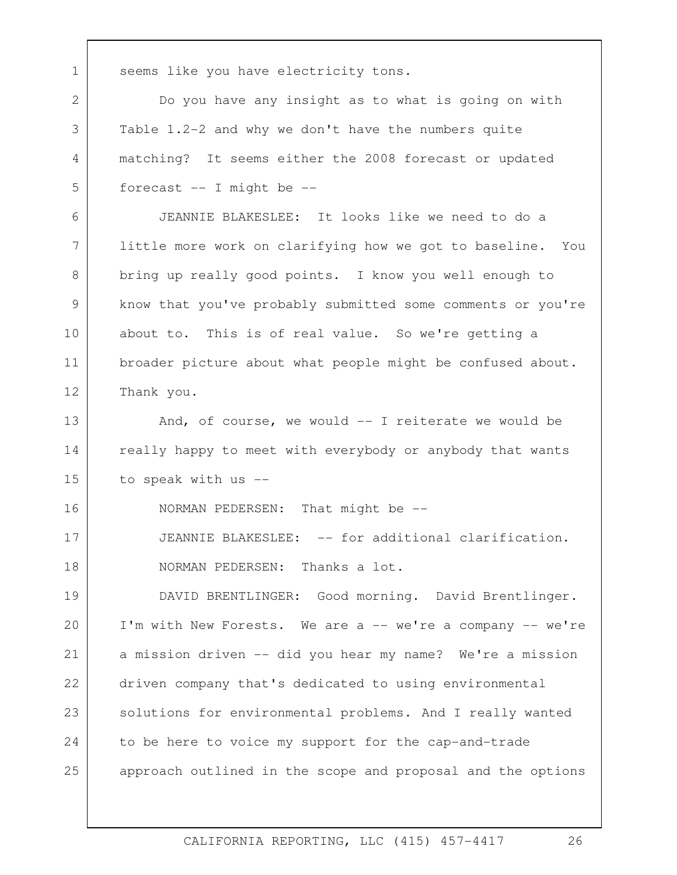1 seems like you have electricity tons. 2 Do you have any insight as to what is going on with 3 4 5 6 7 8 9 10 11 12 13 14 15 16 17 18 19 20 21 22 23 24 25 Table 1.2-2 and why we don't have the numbers quite matching? It seems either the 2008 forecast or updated forecast -- I might be -- JEANNIE BLAKESLEE: It looks like we need to do a little more work on clarifying how we got to baseline. You bring up really good points. I know you well enough to know that you've probably submitted some comments or you're about to. This is of real value. So we're getting a broader picture about what people might be confused about. Thank you. And, of course, we would -- I reiterate we would be really happy to meet with everybody or anybody that wants to speak with us -- NORMAN PEDERSEN: That might be -- JEANNIE BLAKESLEE: -- for additional clarification. NORMAN PEDERSEN: Thanks a lot. DAVID BRENTLINGER: Good morning. David Brentlinger. I'm with New Forests. We are a -- we're a company -- we're a mission driven -- did you hear my name? We're a mission driven company that's dedicated to using environmental solutions for environmental problems. And I really wanted to be here to voice my support for the cap-and-trade approach outlined in the scope and proposal and the options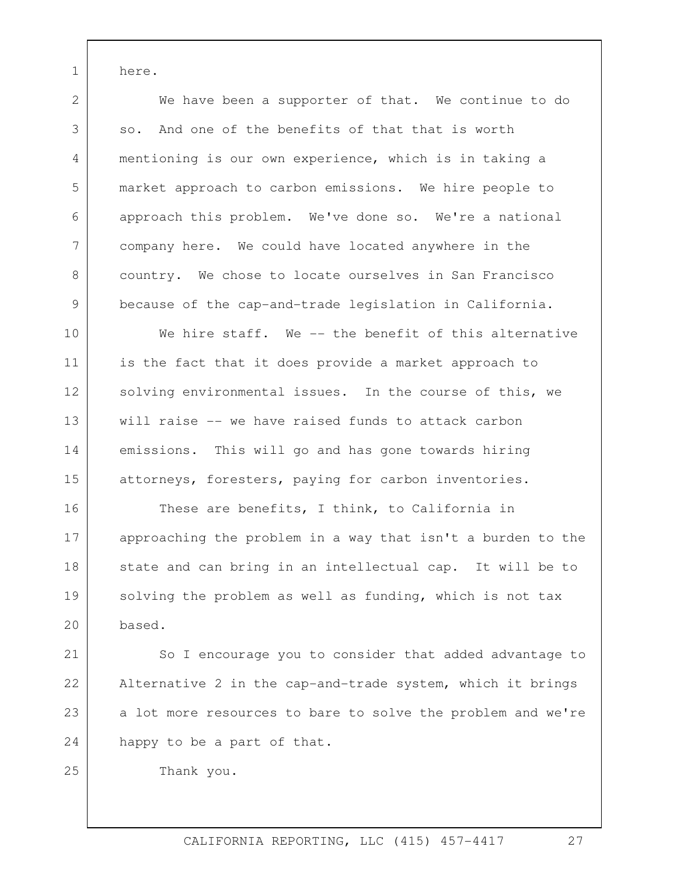1 here.

2

3

4

5

6

7

8

9

 so. And one of the benefits of that that is worth We have been a supporter of that. We continue to do mentioning is our own experience, which is in taking a market approach to carbon emissions. We hire people to approach this problem. We've done so. We're a national company here. We could have located anywhere in the country. We chose to locate ourselves in San Francisco because of the cap-and-trade legislation in California.

10 11 12 13 14 15 We hire staff. We -- the benefit of this alternative is the fact that it does provide a market approach to solving environmental issues. In the course of this, we will raise -- we have raised funds to attack carbon emissions. This will go and has gone towards hiring attorneys, foresters, paying for carbon inventories.

16 17 18 19  $20$ These are benefits, I think, to California in approaching the problem in a way that isn't a burden to the state and can bring in an intellectual cap. It will be to solving the problem as well as funding, which is not tax based.

happy to be a part of that.<br>Thank you. 21 22 23 24 So I encourage you to consider that added advantage to Alternative 2 in the cap-and-trade system, which it brings a lot more resources to bare to solve the problem and we're

25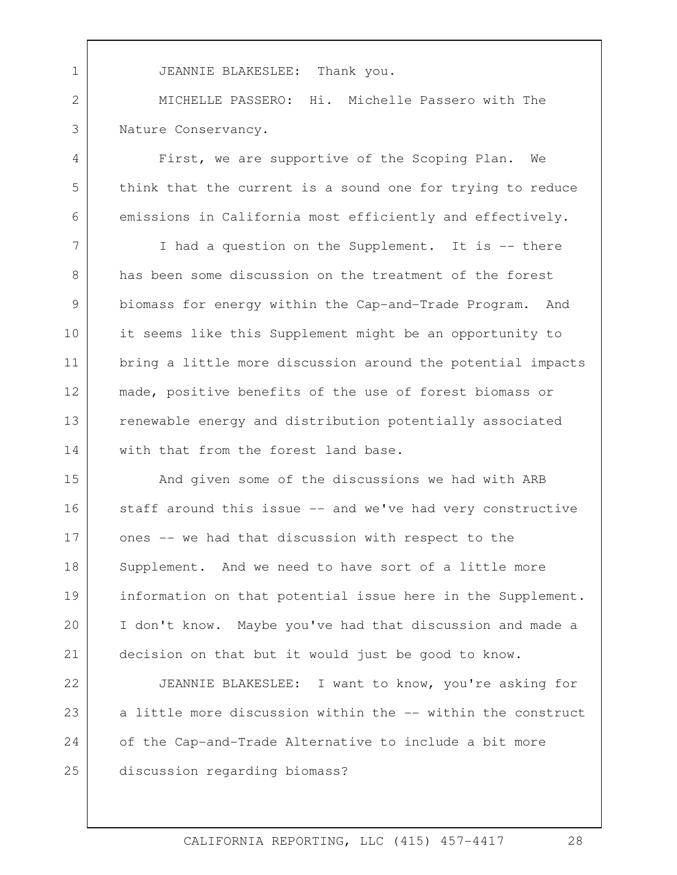MICHELLE PASSERO: Hi. Michelle Passero with The 1 JEANNIE BLAKESLEE: Thank you. 2 3 Nature Conservancy.

4

5

6

9

First, we are supportive of the Scoping Plan. We think that the current is a sound one for trying to reduce emissions in California most efficiently and effectively.

7 8 10 11 12 13 14 I had a question on the Supplement. It is -- there has been some discussion on the treatment of the forest biomass for energy within the Cap-and-Trade Program. And it seems like this Supplement might be an opportunity to bring a little more discussion around the potential impacts made, positive benefits of the use of forest biomass or renewable energy and distribution potentially associated with that from the forest land base.

 I don't know. Maybe you've had that discussion and made a 15 16 17 18 19 20 21 And given some of the discussions we had with ARB staff around this issue -- and we've had very constructive ones -- we had that discussion with respect to the Supplement. And we need to have sort of a little more information on that potential issue here in the Supplement. decision on that but it would just be good to know.

22 23 24 25 JEANNIE BLAKESLEE: I want to know, you're asking for a little more discussion within the -- within the construct of the Cap-and-Trade Alternative to include a bit more discussion regarding biomass?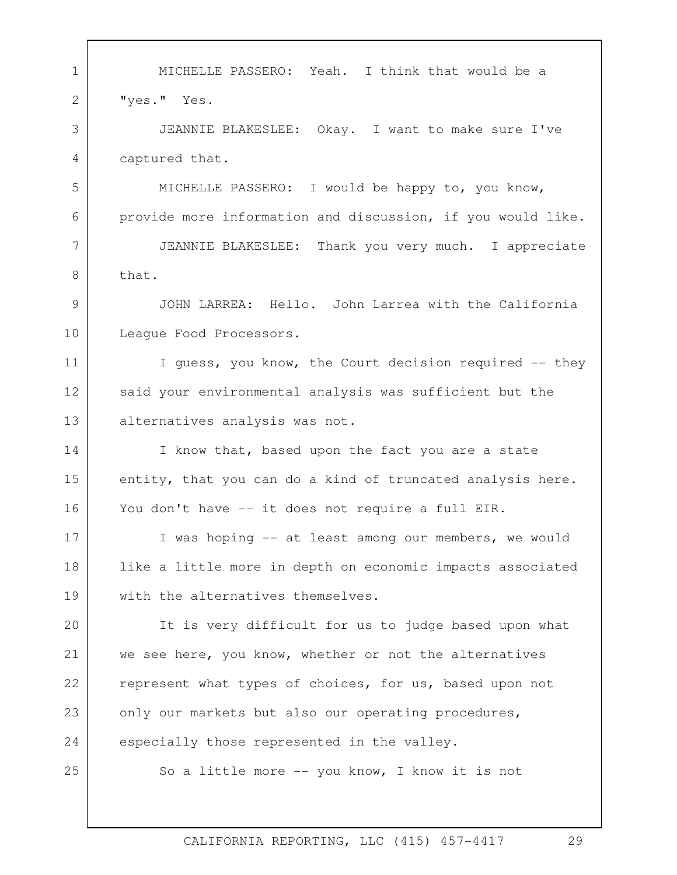1 MICHELLE PASSERO: Yeah. I think that would be a 2 3 4 5 6 7 8 9 10 11 12 13 14 15 16 17 18 19  $20$ 21 22 23 24 25 "yes." Yes. JEANNIE BLAKESLEE: Okay. I want to make sure I've captured that. MICHELLE PASSERO: I would be happy to, you know, provide more information and discussion, if you would like. JEANNIE BLAKESLEE: Thank you very much. I appreciate that. JOHN LARREA: Hello. John Larrea with the California League Food Processors. I guess, you know, the Court decision required -- they said your environmental analysis was sufficient but the alternatives analysis was not. I know that, based upon the fact you are a state entity, that you can do a kind of truncated analysis here. You don't have -- it does not require a full EIR. I was hoping -- at least among our members, we would like a little more in depth on economic impacts associated with the alternatives themselves. It is very difficult for us to judge based upon what we see here, you know, whether or not the alternatives represent what types of choices, for us, based upon not only our markets but also our operating procedures, especially those represented in the valley. So a little more -- you know, I know it is not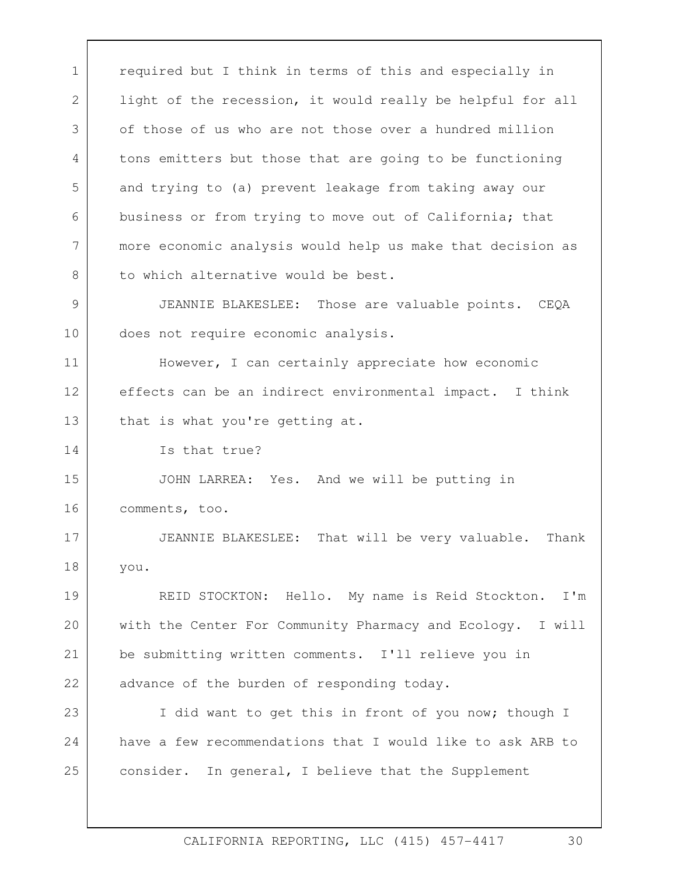REID STOCKTON: Hello. My name is Reid Stockton. I'm have a few recommendations that I would like to ask ARB to 1 | required but I think in terms of this and especially in 2 3 4 5 6 7 8 9 10 11 12 13 14 15 16 17 18 19 20 21 22 23 24 25 light of the recession, it would really be helpful for all of those of us who are not those over a hundred million tons emitters but those that are going to be functioning and trying to (a) prevent leakage from taking away our business or from trying to move out of California; that more economic analysis would help us make that decision as to which alternative would be best. JEANNIE BLAKESLEE: Those are valuable points. CEQA does not require economic analysis. However, I can certainly appreciate how economic effects can be an indirect environmental impact. I think that is what you're getting at. Is that true? JOHN LARREA: Yes. And we will be putting in comments, too. JEANNIE BLAKESLEE: That will be very valuable. Thank you. with the Center For Community Pharmacy and Ecology. I will be submitting written comments. I'll relieve you in advance of the burden of responding today. I did want to get this in front of you now; though I consider. In general, I believe that the Supplement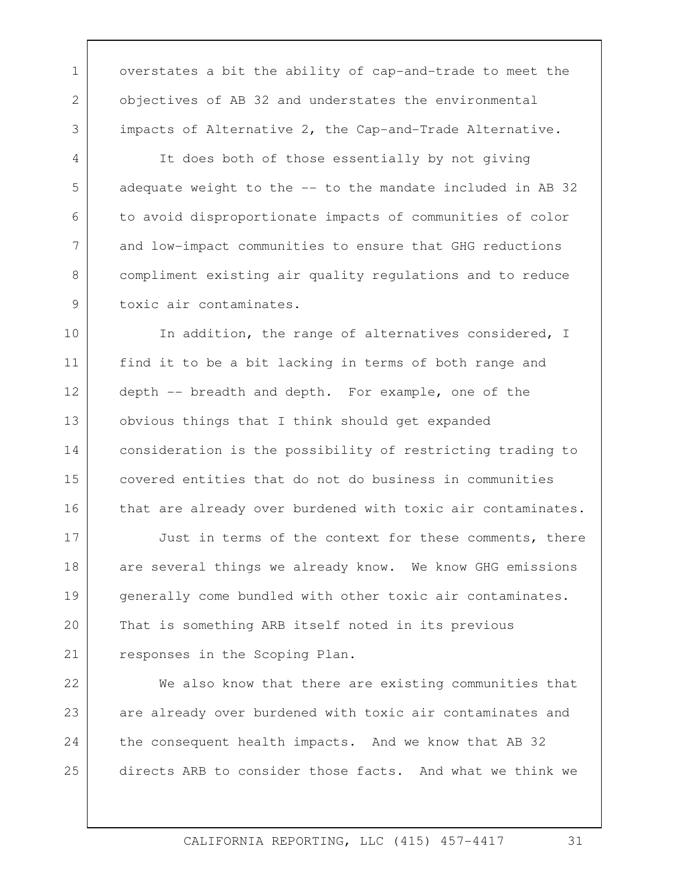objectives of AB 32 and understates the environmental impacts of Alternative 2, the Cap-and-Trade Alternative. It does both of those essentially by not giving 1 overstates a bit the ability of cap-and-trade to meet the

2

3

4

5

6

7

8

9

adequate weight to the -- to the mandate included in AB 32 to avoid disproportionate impacts of communities of color and low-impact communities to ensure that GHG reductions compliment existing air quality regulations and to reduce toxic air contaminates.

10 11 12 13 14 15 16 In addition, the range of alternatives considered, I find it to be a bit lacking in terms of both range and depth -- breadth and depth. For example, one of the obvious things that I think should get expanded consideration is the possibility of restricting trading to covered entities that do not do business in communities that are already over burdened with toxic air contaminates.

 That is something ARB itself noted in its previous 17 18 19 20 21 Just in terms of the context for these comments, there are several things we already know. We know GHG emissions generally come bundled with other toxic air contaminates. responses in the Scoping Plan.

22 23 24 25 We also know that there are existing communities that are already over burdened with toxic air contaminates and the consequent health impacts. And we know that AB 32 directs ARB to consider those facts. And what we think we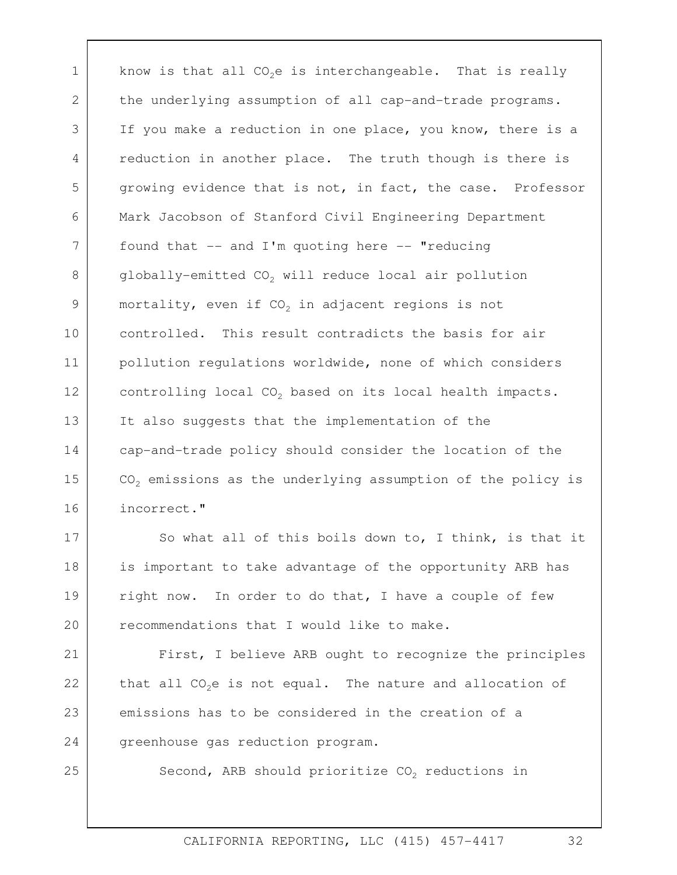the underlying assumption of all cap-and-trade programs. controlling local CO<sub>2</sub> based on its local health impacts.<br>It also suggests that the implementation of the 1 2 3 4 5 6 7 8 9 10 11 12 13 14 15 16 know is that all  $CO<sub>2</sub>e$  is interchangeable. That is really If you make a reduction in one place, you know, there is a reduction in another place. The truth though is there is growing evidence that is not, in fact, the case. Professor Mark Jacobson of Stanford Civil Engineering Department found that  $--$  and I'm quoting here  $--$  "reducing  $globally$ -emitted  $CO<sub>2</sub>$  will reduce local air pollution mortality, even if  $CO<sub>2</sub>$  in adjacent regions is not controlled. This result contradicts the basis for air pollution regulations worldwide, none of which considers cap-and-trade policy should consider the location of the  $CO<sub>2</sub>$  emissions as the underlying assumption of the policy is incorrect."

17 18 19 20 So what all of this boils down to, I think, is that it is important to take advantage of the opportunity ARB has right now. In order to do that, I have a couple of few recommendations that I would like to make.

21 22 23 24 First, I believe ARB ought to recognize the principles that all  $CO<sub>2</sub>e$  is not equal. The nature and allocation of emissions has to be considered in the creation of a greenhouse gas reduction program.

25

Second, ARB should prioritize  $CO<sub>2</sub>$  reductions in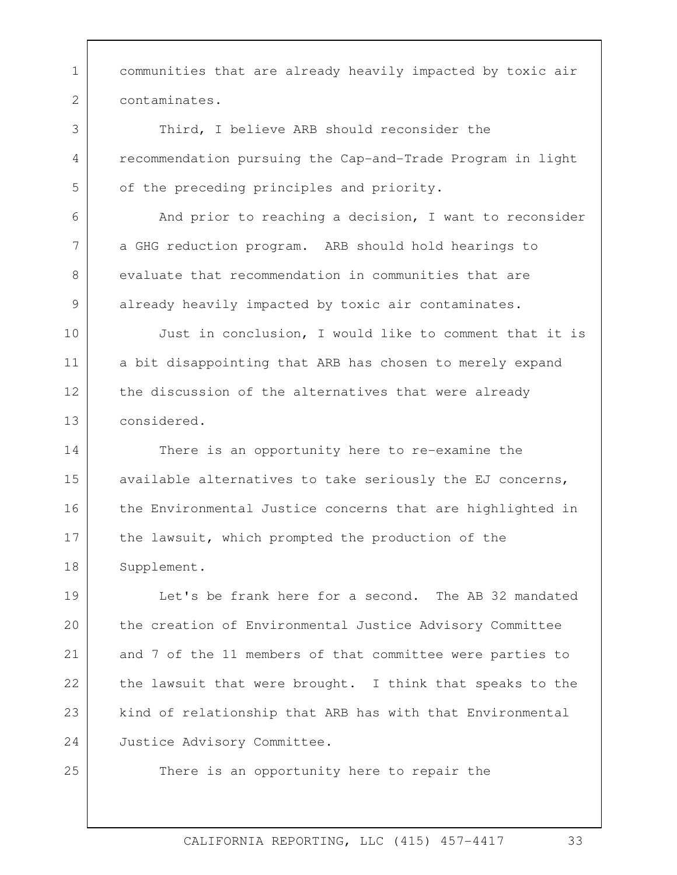1 communities that are already heavily impacted by toxic air 2 contaminates.

Third, I believe ARB should reconsider the recommendation pursuing the Cap-and-Trade Program in light of the preceding principles and priority.<br>And prior to reaching a decision, I want to reconsider

a GHG reduction program. ARB should hold hearings to evaluate that recommendation in communities that are already heavily impacted by toxic air contaminates.<br>Just in conclusion, I would like to comment that it is

10 11 12 13 a bit disappointing that ARB has chosen to merely expand the discussion of the alternatives that were already considered.

14 15 16 17 18 There is an opportunity here to re-examine the available alternatives to take seriously the EJ concerns, the Environmental Justice concerns that are highlighted in the lawsuit, which prompted the production of the Supplement.

Justice Advisory Committee. 19  $20$ 21 22 23 24 Let's be frank here for a second. The AB 32 mandated the creation of Environmental Justice Advisory Committee and 7 of the 11 members of that committee were parties to the lawsuit that were brought. I think that speaks to the kind of relationship that ARB has with that Environmental

25

3

4

5

6

7

8

9

There is an opportunity here to repair the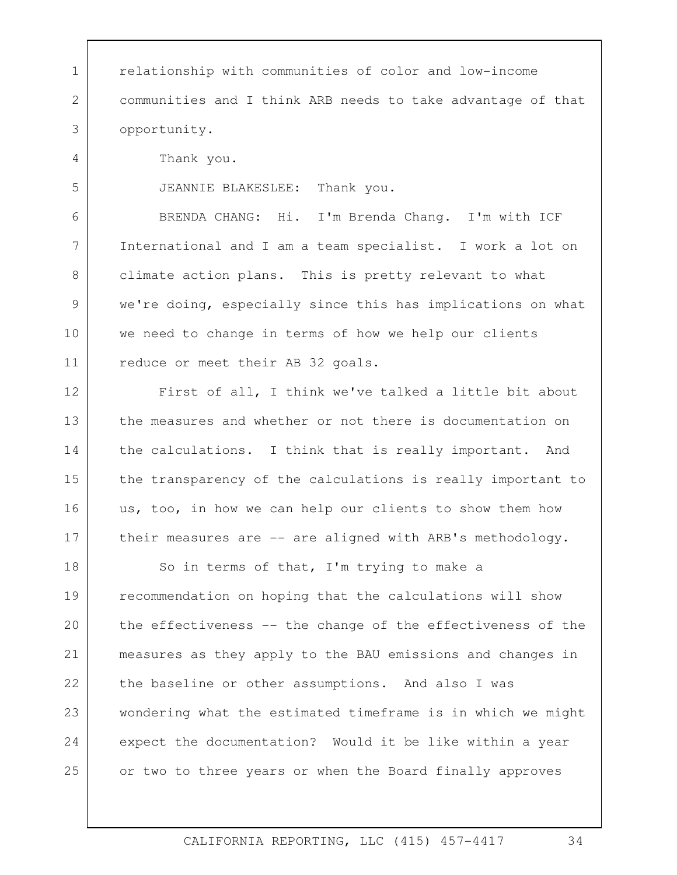1 relationship with communities of color and low-income 2 3 4 5 6 7 8 9 10 11 12 13 14 15 16 17 18 19 20 21 22 23 24 25 communities and I think ARB needs to take advantage of that opportunity. Thank you. JEANNIE BLAKESLEE: Thank you. BRENDA CHANG: Hi. I'm Brenda Chang. I'm with ICF International and I am a team specialist. I work a lot on climate action plans. This is pretty relevant to what we're doing, especially since this has implications on what we need to change in terms of how we help our clients reduce or meet their AB 32 goals. First of all, I think we've talked a little bit about the measures and whether or not there is documentation on the calculations. I think that is really important. And the transparency of the calculations is really important to us, too, in how we can help our clients to show them how their measures are -- are aligned with ARB's methodology. So in terms of that, I'm trying to make a recommendation on hoping that the calculations will show the effectiveness -- the change of the effectiveness of the measures as they apply to the BAU emissions and changes in the baseline or other assumptions. And also I was wondering what the estimated timeframe is in which we might expect the documentation? Would it be like within a year or two to three years or when the Board finally approves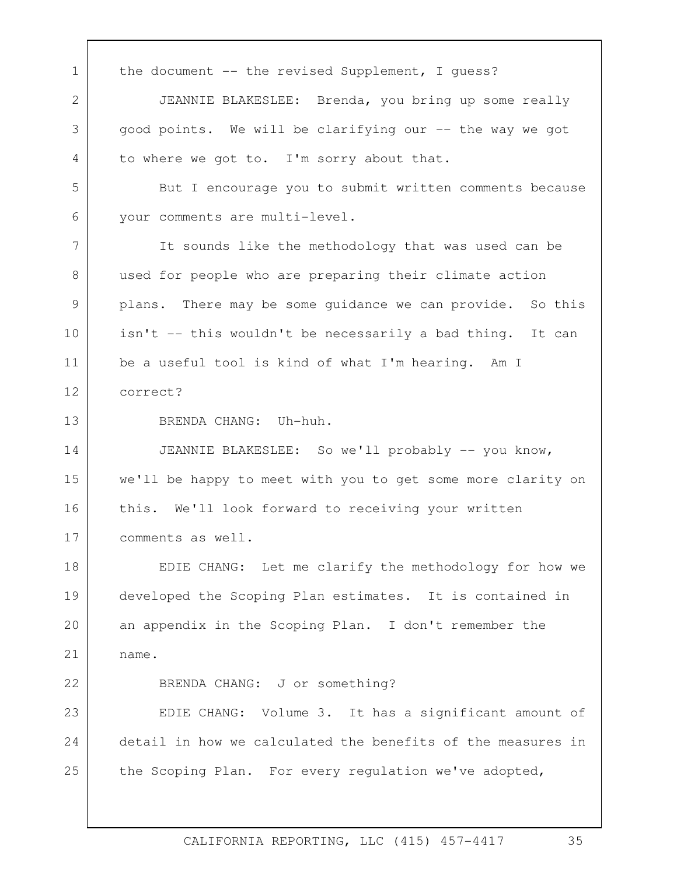be a useful tool is kind of what I'm hearing. Am I correct? 1 the document -- the revised Supplement, I quess? 2 3 4 5 6 7 8 9 10 11 12 13 14 15 16 17 18 19 20 21 22 23 24 25 JEANNIE BLAKESLEE: Brenda, you bring up some really good points. We will be clarifying our -- the way we got to where we got to. I'm sorry about that. But I encourage you to submit written comments because your comments are multi-level. It sounds like the methodology that was used can be used for people who are preparing their climate action plans. There may be some guidance we can provide. So this isn't -- this wouldn't be necessarily a bad thing. It can BRENDA CHANG: Uh-huh. JEANNIE BLAKESLEE: So we'll probably -- you know, we'll be happy to meet with you to get some more clarity on this. We'll look forward to receiving your written comments as well.<br>EDIE CHANG: Let me clarify the methodology for how we developed the Scoping Plan estimates. It is contained in an appendix in the Scoping Plan. I don't remember the name. BRENDA CHANG: J or something? EDIE CHANG: Volume 3. It has a significant amount of detail in how we calculated the benefits of the measures in the Scoping Plan. For every regulation we've adopted,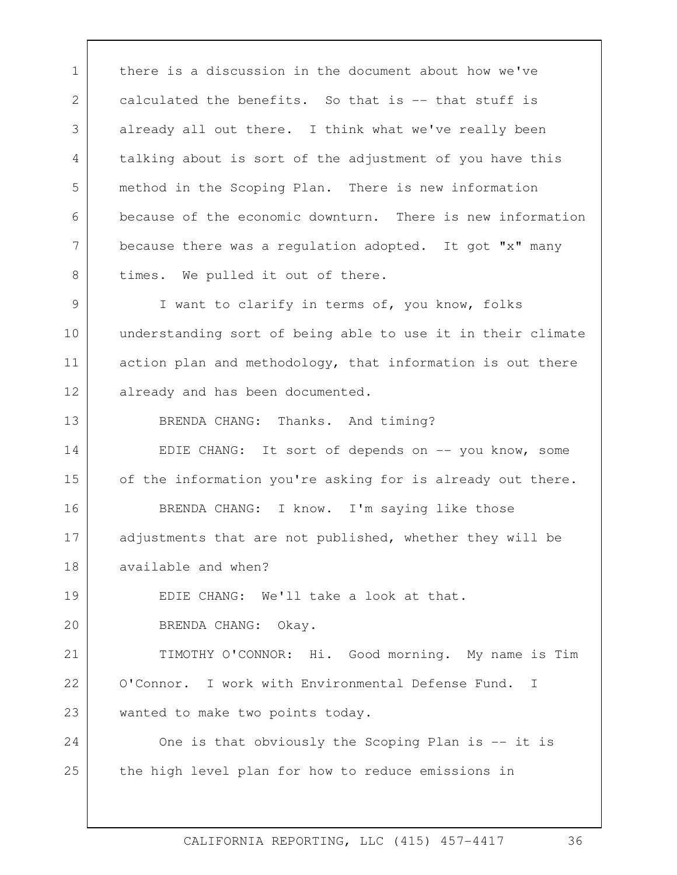1 there is a discussion in the document about how we've 2 3 4 5 6 7 8 calculated the benefits. So that is -- that stuff is already all out there. I think what we've really been talking about is sort of the adjustment of you have this method in the Scoping Plan. There is new information because of the economic downturn. There is new information because there was a regulation adopted. It got "x" many times. We pulled it out of there.

9 10 11 12 I want to clarify in terms of, you know, folks understanding sort of being able to use it in their climate action plan and methodology, that information is out there already and has been documented.

BRENDA CHANG: Thanks. And timing?

13

14 15 16 17 18 EDIE CHANG: It sort of depends on -- you know, some of the information you're asking for is already out there. BRENDA CHANG: I know. I'm saying like those adjustments that are not published, whether they will be available and when?

19  $20$ EDIE CHANG: We'll take a look at that. BRENDA CHANG: Okay.

 TIMOTHY O'CONNOR: Hi. Good morning. My name is Tim 21 22 23 O'Connor. I work with Environmental Defense Fund. I wanted to make two points today.

24 25 One is that obviously the Scoping Plan is -- it is the high level plan for how to reduce emissions in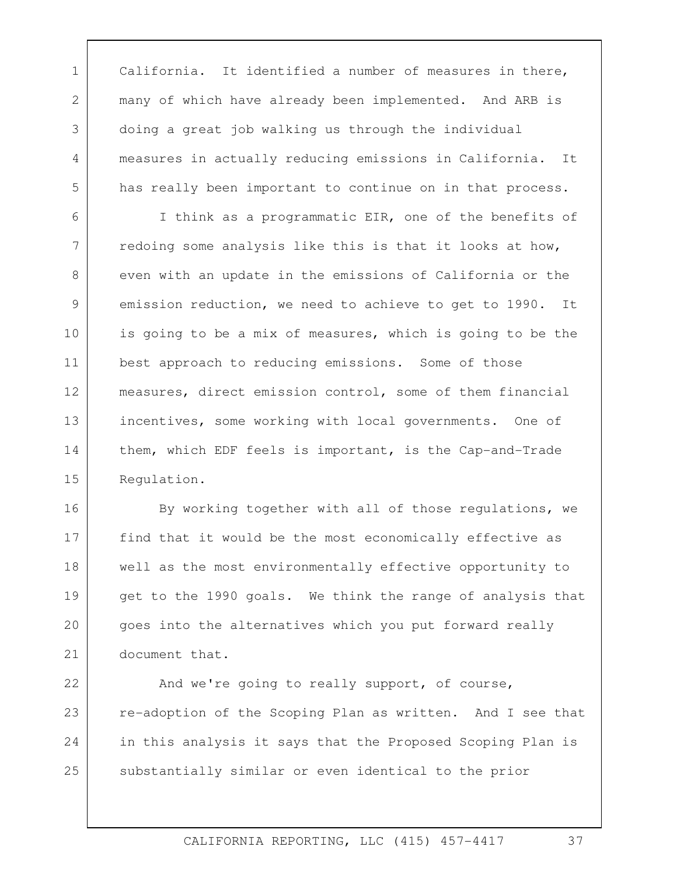many of which have already been implemented. And ARB is 1 | California. It identified a number of measures in there, doing a great job walking us through the individual measures in actually reducing emissions in California. It has really been important to continue on in that process.

2

3

4

5

6 7 8 9 10 11 12 13 14 15 I think as a programmatic EIR, one of the benefits of redoing some analysis like this is that it looks at how, even with an update in the emissions of California or the emission reduction, we need to achieve to get to 1990. It is going to be a mix of measures, which is going to be the best approach to reducing emissions. Some of those measures, direct emission control, some of them financial incentives, some working with local governments. One of them, which EDF feels is important, is the Cap-and-Trade Regulation.

16 17 18 19 20 21 By working together with all of those regulations, we find that it would be the most economically effective as well as the most environmentally effective opportunity to get to the 1990 goals. We think the range of analysis that goes into the alternatives which you put forward really document that.

22 23 24 25 And we're going to really support, of course, re-adoption of the Scoping Plan as written. And I see that in this analysis it says that the Proposed Scoping Plan is substantially similar or even identical to the prior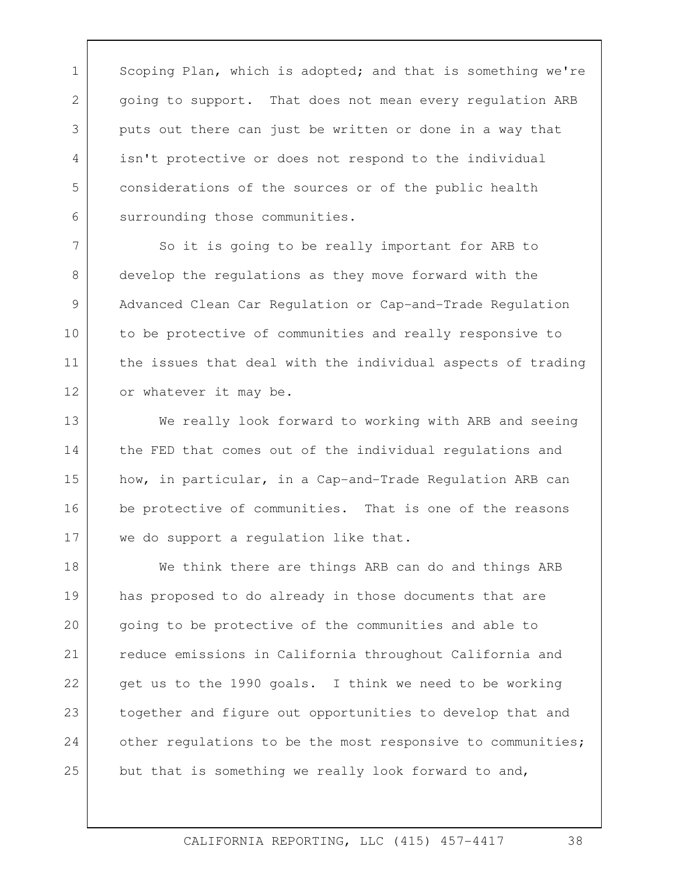1 Scoping Plan, which is adopted; and that is something we're 2 3 4 5 6 going to support. That does not mean every regulation ARB puts out there can just be written or done in a way that isn't protective or does not respond to the individual considerations of the sources or of the public health surrounding those communities.

 So it is going to be really important for ARB to develop the regulations as they move forward with the Advanced Clean Car Regulation or Cap-and-Trade Regulation to be protective of communities and really responsive to the issues that deal with the individual aspects of trading or whatever it may be.<br>We really look forward to working with ARB and seeing

7

8

9

10

11

12

13 14 15 16 17 the FED that comes out of the individual regulations and how, in particular, in a Cap-and-Trade Regulation ARB can be protective of communities. That is one of the reasons we do support a regulation like that.<br>We think there are things ARB can do and things ARB

18 19 20 21 22 23 24 25 has proposed to do already in those documents that are going to be protective of the communities and able to reduce emissions in California throughout California and get us to the 1990 goals. I think we need to be working together and figure out opportunities to develop that and other regulations to be the most responsive to communities; but that is something we really look forward to and,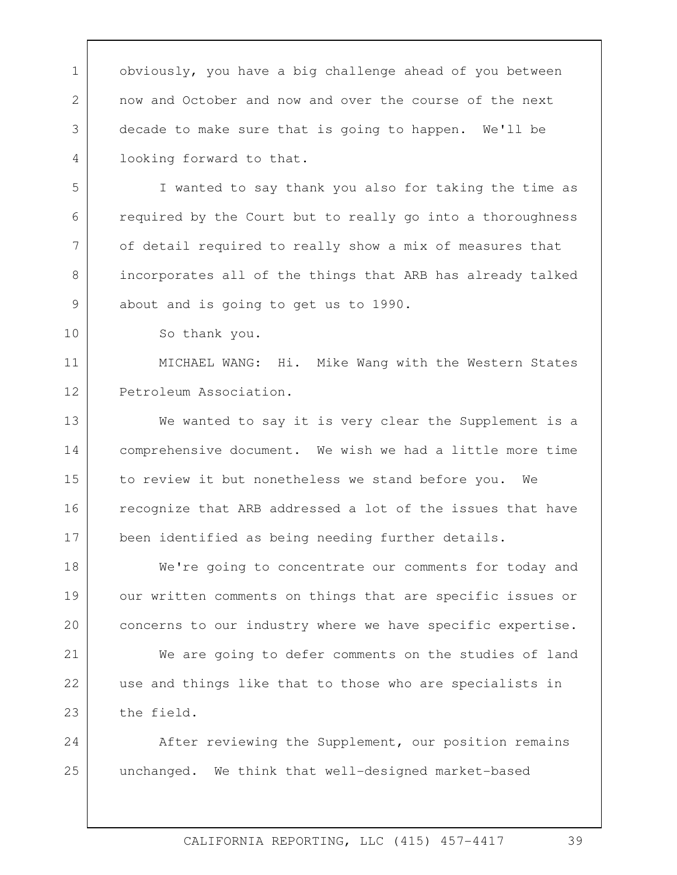about and is going to get us to 1990.<br>So thank you. 1 obviously, you have a big challenge ahead of you between 2 3 4 5 6 7 8 9 10 11 12 13 14 15 16 17 18 19 20 21 22 23 24 25 now and October and now and over the course of the next decade to make sure that is going to happen. We'll be looking forward to that. I wanted to say thank you also for taking the time as required by the Court but to really go into a thoroughness of detail required to really show a mix of measures that incorporates all of the things that ARB has already talked MICHAEL WANG: Hi. Mike Wang with the Western States Petroleum Association.<br>We wanted to say it is very clear the Supplement is a comprehensive document. We wish we had a little more time to review it but nonetheless we stand before you. We recognize that ARB addressed a lot of the issues that have been identified as being needing further details. We're going to concentrate our comments for today and our written comments on things that are specific issues or concerns to our industry where we have specific expertise. We are going to defer comments on the studies of land use and things like that to those who are specialists in the field. After reviewing the Supplement, our position remains unchanged. We think that well-designed market-based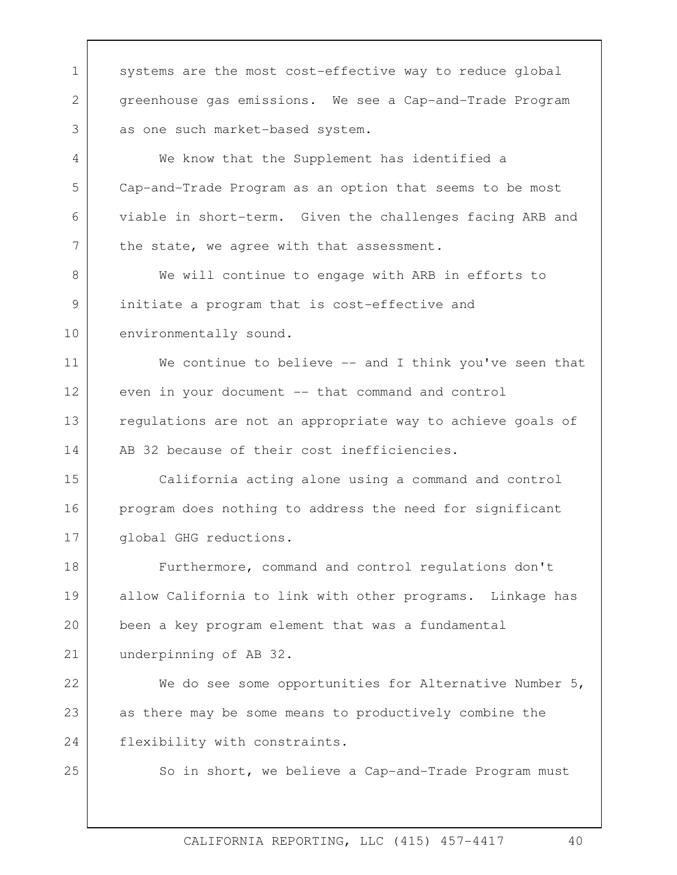environmentally sound. 1 systems are the most cost-effective way to reduce global 2 3 4 5 6 7 8 9 10 11 12 13 14 15 16 17 18 19 20 21 22 23 24 25 greenhouse gas emissions. We see a Cap-and-Trade Program as one such market-based system. We know that the Supplement has identified a Cap-and-Trade Program as an option that seems to be most viable in short-term. Given the challenges facing ARB and the state, we agree with that assessment. We will continue to engage with ARB in efforts to initiate a program that is cost-effective and We continue to believe  $-$  and I think you've seen that even in your document -- that command and control regulations are not an appropriate way to achieve goals of AB 32 because of their cost inefficiencies. California acting alone using a command and control program does nothing to address the need for significant global GHG reductions. Furthermore, command and control regulations don't allow California to link with other programs. Linkage has been a key program element that was a fundamental underpinning of AB 32. We do see some opportunities for Alternative Number 5, as there may be some means to productively combine the flexibility with constraints. So in short, we believe a Cap-and-Trade Program must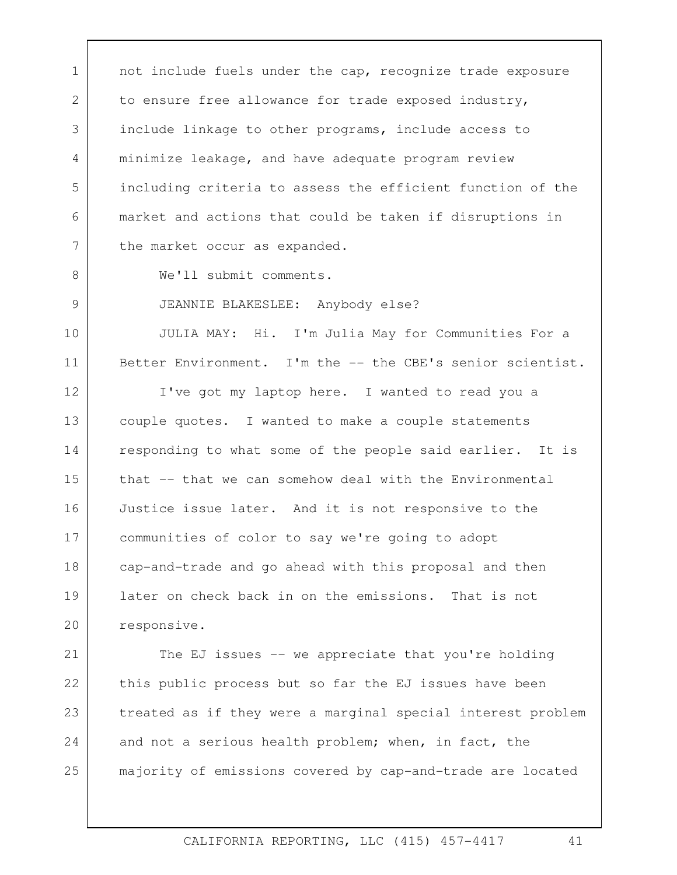1 | not include fuels under the cap, recognize trade exposure 2 3 4 5 6 7 to ensure free allowance for trade exposed industry, include linkage to other programs, include access to minimize leakage, and have adequate program review including criteria to assess the efficient function of the market and actions that could be taken if disruptions in the market occur as expanded.

8

9

We'll submit comments.

JEANNIE BLAKESLEE: Anybody else?

10 11 JULIA MAY: Hi. I'm Julia May for Communities For a Better Environment. I'm the -- the CBE's senior scientist.

12 13 14 15 16 17 18 19 20 I've got my laptop here. I wanted to read you a couple quotes. I wanted to make a couple statements responding to what some of the people said earlier. It is that -- that we can somehow deal with the Environmental Justice issue later. And it is not responsive to the communities of color to say we're going to adopt cap-and-trade and go ahead with this proposal and then later on check back in on the emissions. That is not responsive.

21 22 23 24 25 The EJ issues -- we appreciate that you're holding this public process but so far the EJ issues have been treated as if they were a marginal special interest problem and not a serious health problem; when, in fact, the majority of emissions covered by cap-and-trade are located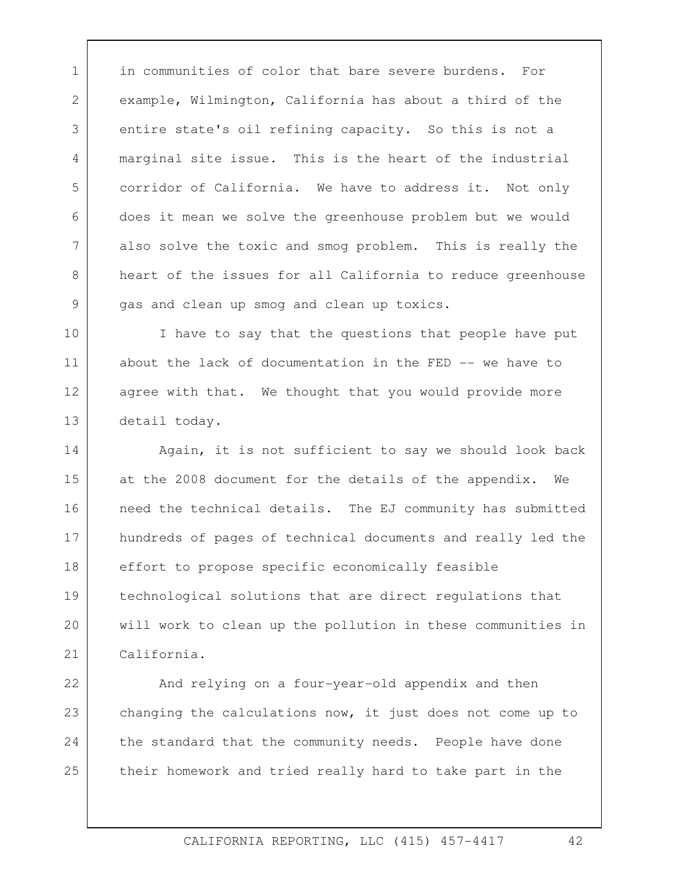1 in communities of color that bare severe burdens. For 7 example, Wilmington, California has about a third of the entire state's oil refining capacity. So this is not a marginal site issue. This is the heart of the industrial corridor of California. We have to address it. Not only does it mean we solve the greenhouse problem but we would also solve the toxic and smog problem. This is really the heart of the issues for all California to reduce greenhouse gas and clean up smog and clean up toxics.

2

3

4

5

6

8

9

10 11 12 13 I have to say that the questions that people have put about the lack of documentation in the FED -- we have to agree with that. We thought that you would provide more detail today.

14 15 16 17 18 19 20 21 Again, it is not sufficient to say we should look back at the 2008 document for the details of the appendix. We need the technical details. The EJ community has submitted hundreds of pages of technical documents and really led the effort to propose specific economically feasible technological solutions that are direct regulations that will work to clean up the pollution in these communities in California.

22 23 24 25 And relying on a four-year-old appendix and then changing the calculations now, it just does not come up to the standard that the community needs. People have done their homework and tried really hard to take part in the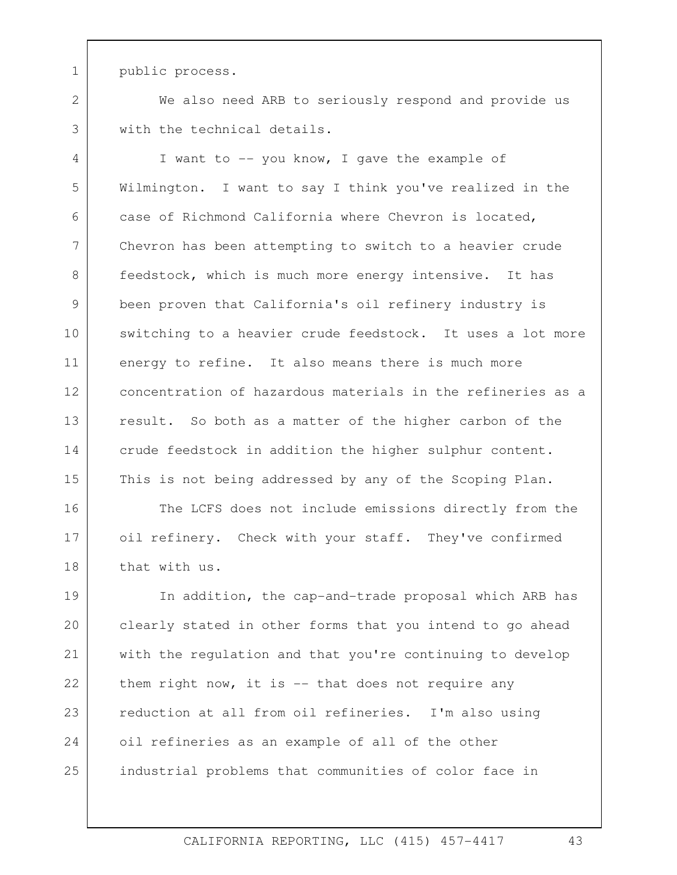1 public process.

2

3

We also need ARB to seriously respond and provide us with the technical details.

4 5 6 7 8 9 10 11 12 13 14 15 I want to -- you know, I gave the example of Wilmington. I want to say I think you've realized in the case of Richmond California where Chevron is located, Chevron has been attempting to switch to a heavier crude feedstock, which is much more energy intensive. It has been proven that California's oil refinery industry is switching to a heavier crude feedstock. It uses a lot more energy to refine. It also means there is much more concentration of hazardous materials in the refineries as a result. So both as a matter of the higher carbon of the crude feedstock in addition the higher sulphur content. This is not being addressed by any of the Scoping Plan.

16 17 18 The LCFS does not include emissions directly from the oil refinery. Check with your staff. They've confirmed that with us.

19 20 21 22 23 24 25 In addition, the cap-and-trade proposal which ARB has clearly stated in other forms that you intend to go ahead with the regulation and that you're continuing to develop them right now, it is  $-$  that does not require any reduction at all from oil refineries. I'm also using oil refineries as an example of all of the other industrial problems that communities of color face in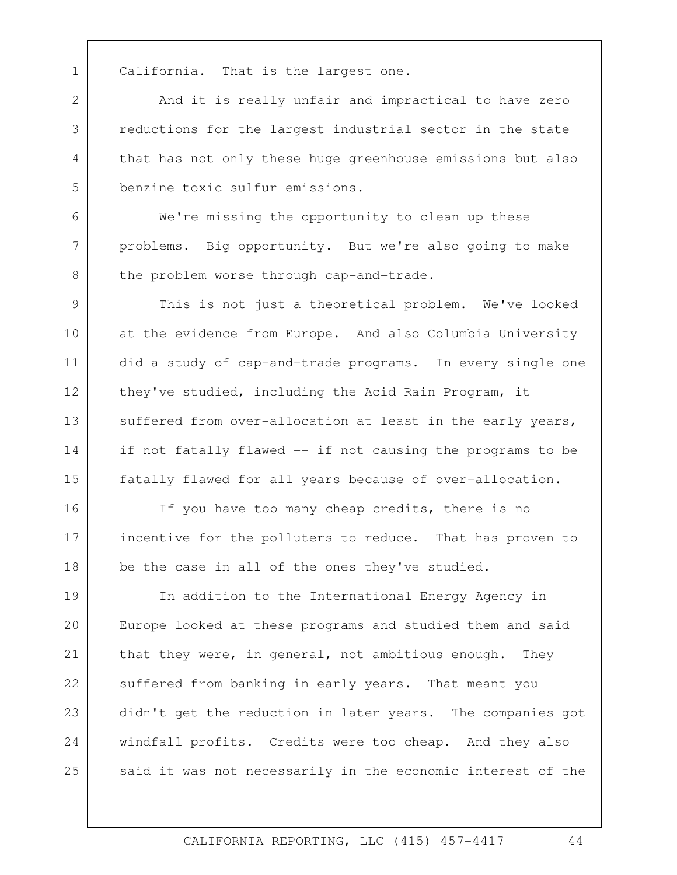3

4

5

6

7

8

1 California. That is the largest one. 2 And it is really unfair and impractical to have zero reductions for the largest industrial sector in the state that has not only these huge greenhouse emissions but also benzine toxic sulfur emissions.

We're missing the opportunity to clean up these problems. Big opportunity. But we're also going to make the problem worse through cap-and-trade.

fatally flawed for all years because of over-allocation.<br>If you have too many cheap credits, there is no 9 10 11 12 13 14 15 This is not just a theoretical problem. We've looked at the evidence from Europe. And also Columbia University did a study of cap-and-trade programs. In every single one they've studied, including the Acid Rain Program, it suffered from over-allocation at least in the early years, if not fatally flawed -- if not causing the programs to be

16 17 18 incentive for the polluters to reduce. That has proven to be the case in all of the ones they've studied.

19 20 21 22 23 24 25 In addition to the International Energy Agency in Europe looked at these programs and studied them and said that they were, in general, not ambitious enough. They suffered from banking in early years. That meant you didn't get the reduction in later years. The companies got windfall profits. Credits were too cheap. And they also said it was not necessarily in the economic interest of the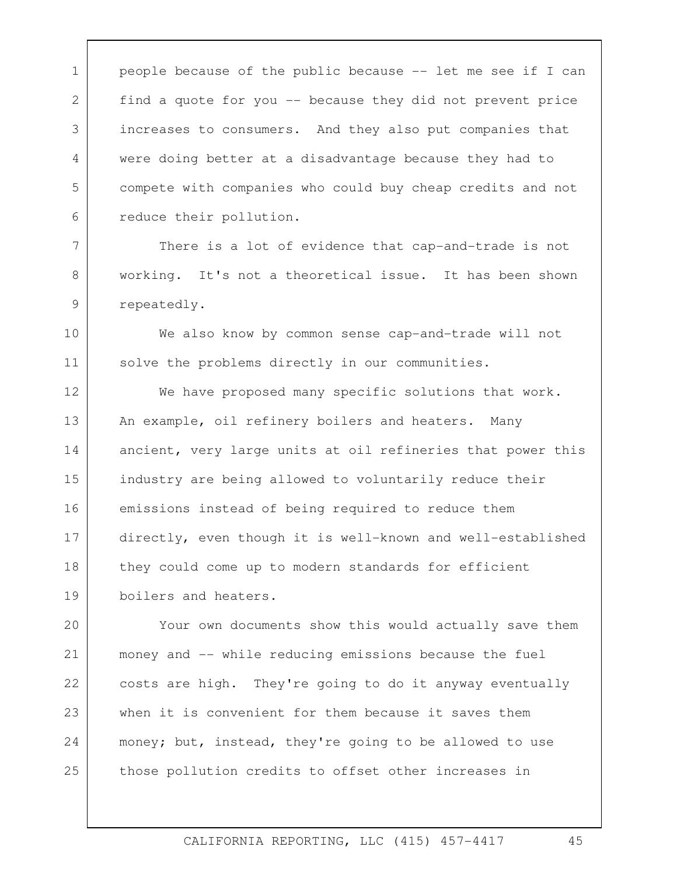1 people because of the public because -- let me see if I can 2 3 4 5 6 find a quote for you -- because they did not prevent price increases to consumers. And they also put companies that were doing better at a disadvantage because they had to compete with companies who could buy cheap credits and not reduce their pollution.

There is a lot of evidence that cap-and-trade is not working. It's not a theoretical issue. It has been shown repeatedly.

7

8

9

10 11 We also know by common sense cap-and-trade will not solve the problems directly in our communities.

An example, oil refinery boilers and heaters. Many 12 13 14 15 16 17 18 19 We have proposed many specific solutions that work. ancient, very large units at oil refineries that power this industry are being allowed to voluntarily reduce their emissions instead of being required to reduce them directly, even though it is well-known and well-established they could come up to modern standards for efficient boilers and heaters.

 $20$ 21 22 23 24 25 Your own documents show this would actually save them money and -- while reducing emissions because the fuel costs are high. They're going to do it anyway eventually when it is convenient for them because it saves them money; but, instead, they're going to be allowed to use those pollution credits to offset other increases in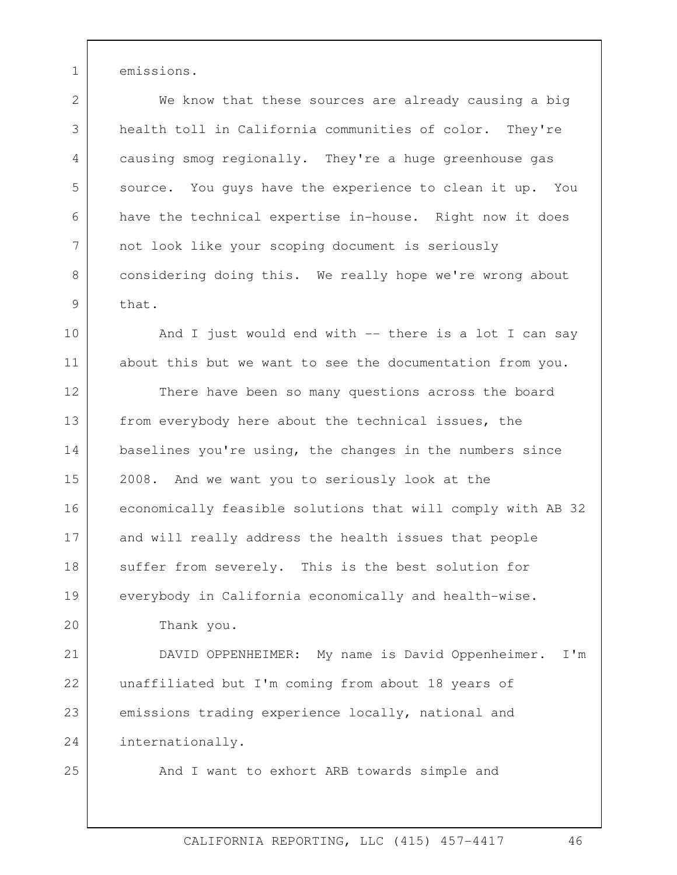1 emissions.

2 3 4 5 6 7 8 9 We know that these sources are already causing a big health toll in California communities of color. They're causing smog regionally. They're a huge greenhouse gas source. You guys have the experience to clean it up. You have the technical expertise in-house. Right now it does not look like your scoping document is seriously considering doing this. We really hope we're wrong about that.

10 11 And I just would end with -- there is a lot I can say about this but we want to see the documentation from you.

12 13 14 15 16 17 18 19 There have been so many questions across the board from everybody here about the technical issues, the baselines you're using, the changes in the numbers since 2008. And we want you to seriously look at the economically feasible solutions that will comply with AB 32 and will really address the health issues that people suffer from severely. This is the best solution for everybody in California economically and health-wise.

Thank you.

21 22 23 24 DAVID OPPENHEIMER: My name is David Oppenheimer. I'm unaffiliated but I'm coming from about 18 years of emissions trading experience locally, national and internationally.

25

 $20$ 

And I want to exhort ARB towards simple and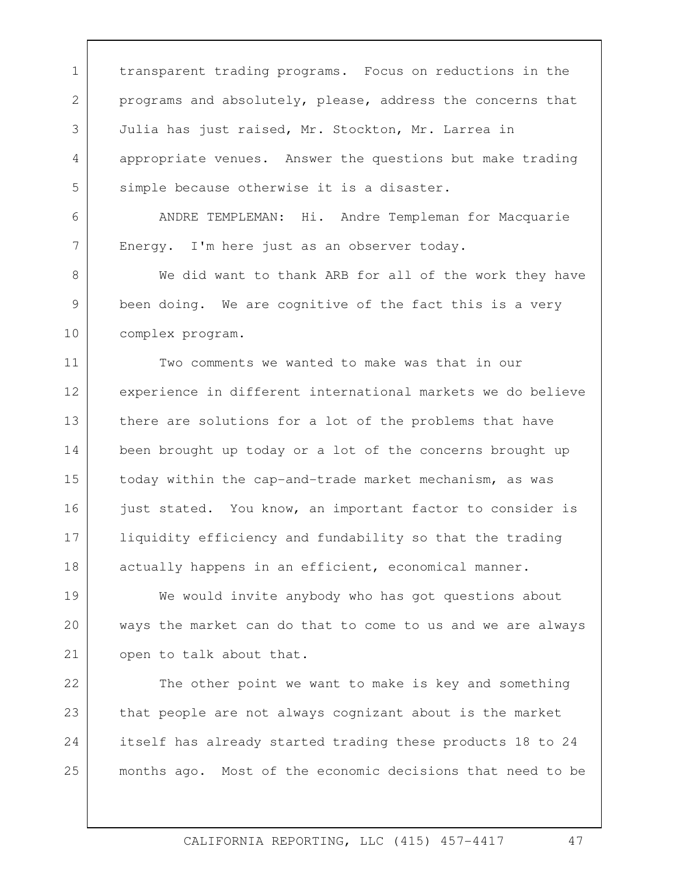1 transparent trading programs. Focus on reductions in the 2 3 4 5 programs and absolutely, please, address the concerns that Julia has just raised, Mr. Stockton, Mr. Larrea in appropriate venues. Answer the questions but make trading simple because otherwise it is a disaster.

ANDRE TEMPLEMAN: Hi. Andre Templeman for Macquarie Energy. I'm here just as an observer today.

6

7

8 9 10 We did want to thank ARB for all of the work they have been doing. We are cognitive of the fact this is a very complex program.

11 12 13 14 15 16 17 18 Two comments we wanted to make was that in our experience in different international markets we do believe there are solutions for a lot of the problems that have been brought up today or a lot of the concerns brought up today within the cap-and-trade market mechanism, as was just stated. You know, an important factor to consider is liquidity efficiency and fundability so that the trading actually happens in an efficient, economical manner.

19 20 21 We would invite anybody who has got questions about ways the market can do that to come to us and we are always open to talk about that.

22 23 24 25 The other point we want to make is key and something that people are not always cognizant about is the market itself has already started trading these products 18 to 24 months ago. Most of the economic decisions that need to be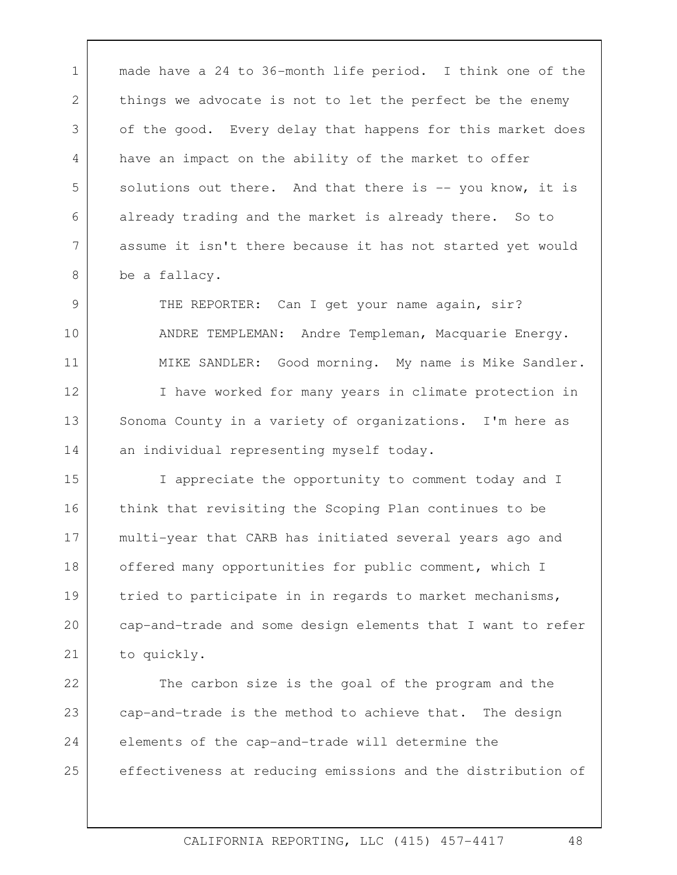1 | made have a 24 to 36-month life period. I think one of the 2 3 4 5 6 7 8 things we advocate is not to let the perfect be the enemy of the good. Every delay that happens for this market does have an impact on the ability of the market to offer solutions out there. And that there is  $-$  you know, it is already trading and the market is already there. So to assume it isn't there because it has not started yet would be a fallacy.

9 10 11 12 13 14 THE REPORTER: Can I get your name again, sir? ANDRE TEMPLEMAN: Andre Templeman, Macquarie Energy. MIKE SANDLER: Good morning. My name is Mike Sandler. I have worked for many years in climate protection in Sonoma County in a variety of organizations. I'm here as an individual representing myself today.

15 16 17 18 19 20 21 I appreciate the opportunity to comment today and I think that revisiting the Scoping Plan continues to be multi-year that CARB has initiated several years ago and offered many opportunities for public comment, which I tried to participate in in regards to market mechanisms, cap-and-trade and some design elements that I want to refer to quickly.

22 23 24 25 The carbon size is the goal of the program and the cap-and-trade is the method to achieve that. The design elements of the cap-and-trade will determine the effectiveness at reducing emissions and the distribution of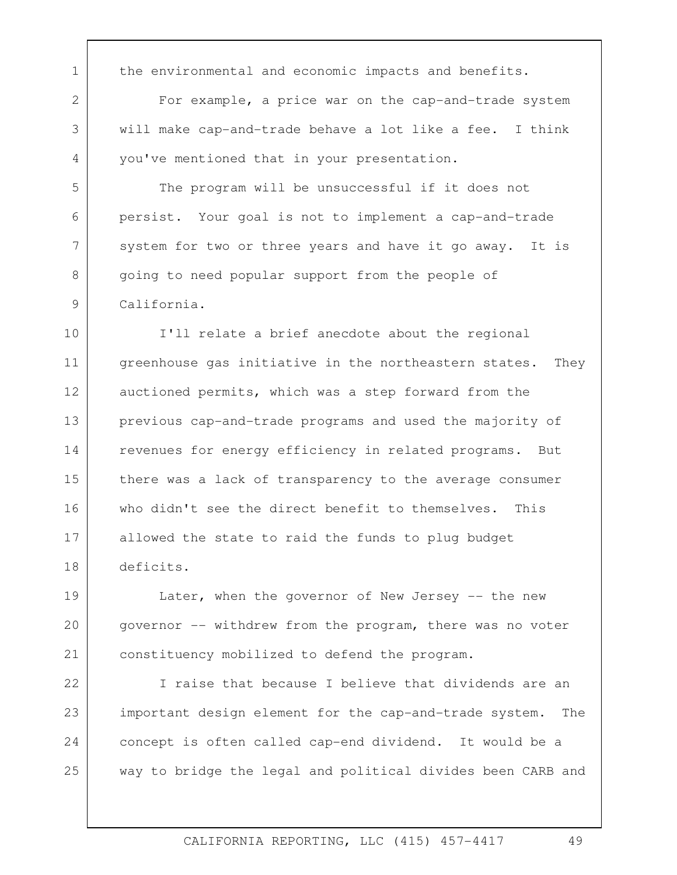1 | the environmental and economic impacts and benefits.

2

3

4

5

6

7

8

9

For example, a price war on the cap-and-trade system will make cap-and-trade behave a lot like a fee. I think you've mentioned that in your presentation.

The program will be unsuccessful if it does not persist. Your goal is not to implement a cap-and-trade system for two or three years and have it go away. It is going to need popular support from the people of California.

10 11 12 13 14 15 16 17 18 I'll relate a brief anecdote about the regional greenhouse gas initiative in the northeastern states. They auctioned permits, which was a step forward from the previous cap-and-trade programs and used the majority of revenues for energy efficiency in related programs. But there was a lack of transparency to the average consumer who didn't see the direct benefit to themselves. This allowed the state to raid the funds to plug budget deficits.

19 20 21 Later, when the governor of New Jersey  $-$  the new governor -- withdrew from the program, there was no voter constituency mobilized to defend the program.

22 23 24 25 I raise that because I believe that dividends are an important design element for the cap-and-trade system. The concept is often called cap-end dividend. It would be a way to bridge the legal and political divides been CARB and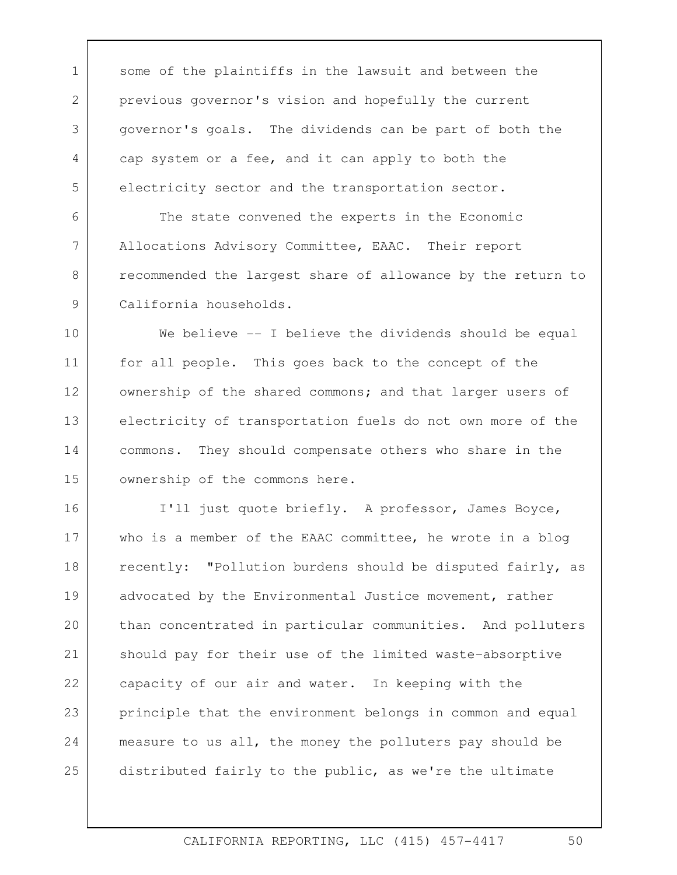1 some of the plaintiffs in the lawsuit and between the previous governor's vision and hopefully the current governor's goals. The dividends can be part of both the cap system or a fee, and it can apply to both the electricity sector and the transportation sector.

2

3

4

5

6

7

8

9

The state convened the experts in the Economic Allocations Advisory Committee, EAAC. Their report recommended the largest share of allowance by the return to California households.

10 11 12 13 14 15 We believe -- I believe the dividends should be equal for all people. This goes back to the concept of the ownership of the shared commons; and that larger users of electricity of transportation fuels do not own more of the commons. They should compensate others who share in the ownership of the commons here.

16 17 18 19 20 21 22 23 24 25 I'll just quote briefly. A professor, James Boyce, who is a member of the EAAC committee, he wrote in a blog recently: "Pollution burdens should be disputed fairly, as advocated by the Environmental Justice movement, rather than concentrated in particular communities. And polluters should pay for their use of the limited waste-absorptive capacity of our air and water. In keeping with the principle that the environment belongs in common and equal measure to us all, the money the polluters pay should be distributed fairly to the public, as we're the ultimate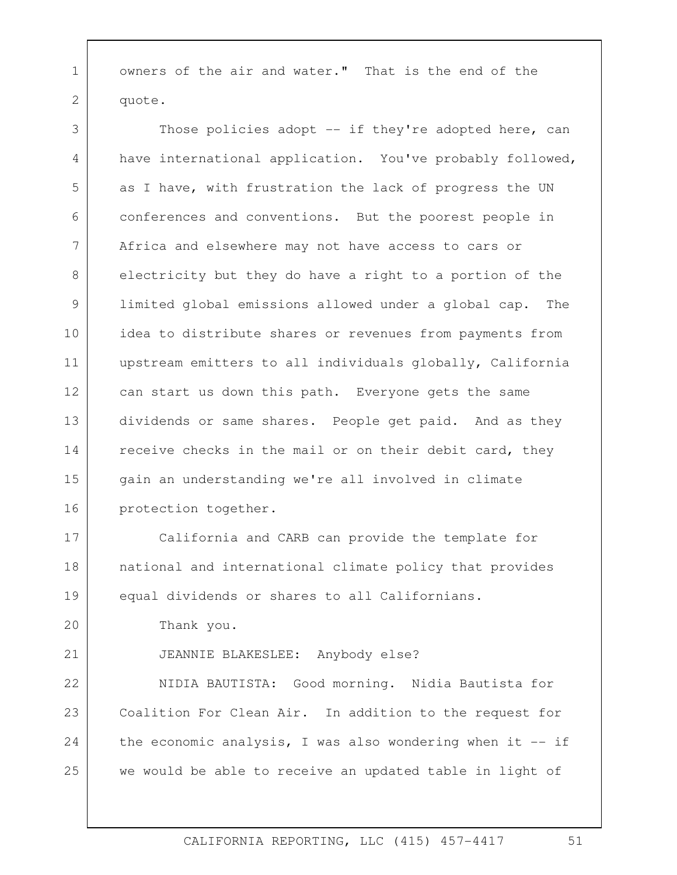1 owners of the air and water." That is the end of the quote.

3 4 5 6 7 8 9 10 11 12 13 14 15 16 Those policies adopt -- if they're adopted here, can have international application. You've probably followed, as I have, with frustration the lack of progress the UN conferences and conventions. But the poorest people in Africa and elsewhere may not have access to cars or electricity but they do have a right to a portion of the limited global emissions allowed under a global cap. The idea to distribute shares or revenues from payments from upstream emitters to all individuals globally, California can start us down this path. Everyone gets the same dividends or same shares. People get paid. And as they receive checks in the mail or on their debit card, they gain an understanding we're all involved in climate protection together.

17 18 19  $20$ California and CARB can provide the template for national and international climate policy that provides equal dividends or shares to all Californians.

Thank you.

21

2

JEANNIE BLAKESLEE: Anybody else?

22 23 24 25 NIDIA BAUTISTA: Good morning. Nidia Bautista for Coalition For Clean Air. In addition to the request for the economic analysis, I was also wondering when it  $-$  if we would be able to receive an updated table in light of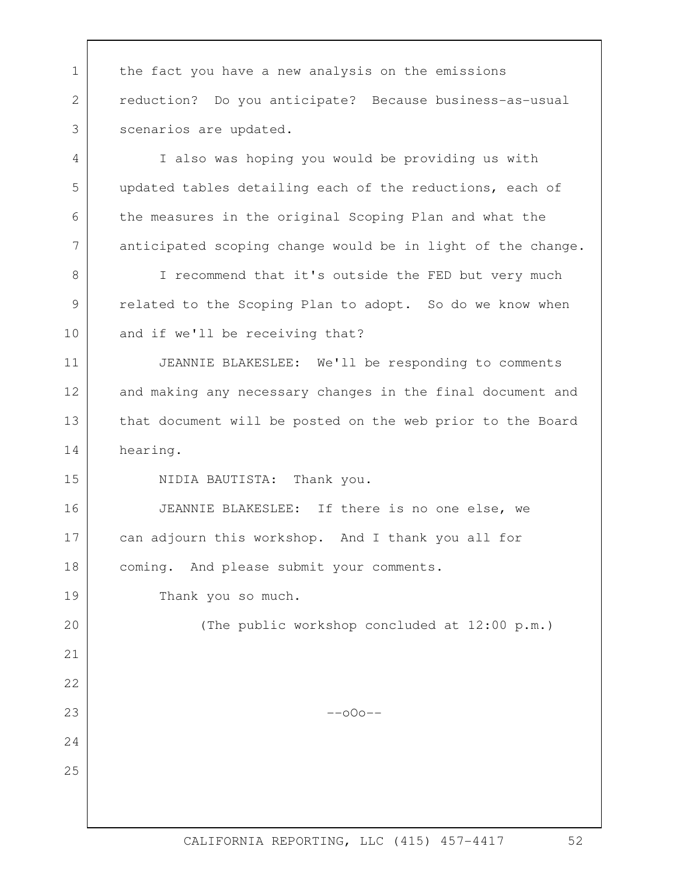can adjourn this workshop. And I thank you all for coming. And please submit your comments. 1 the fact you have a new analysis on the emissions 2 3 4 5 6 7 8 9 10 11 12 13 14 15 16 17 18 19 20 21 22 23 24 25 reduction? Do you anticipate? Because business-as-usual scenarios are updated.<br>I also was hoping you would be providing us with updated tables detailing each of the reductions, each of the measures in the original Scoping Plan and what the anticipated scoping change would be in light of the change. I recommend that it's outside the FED but very much related to the Scoping Plan to adopt. So do we know when and if we'll be receiving that? JEANNIE BLAKESLEE: We'll be responding to comments and making any necessary changes in the final document and that document will be posted on the web prior to the Board hearing. NIDIA BAUTISTA: Thank you. JEANNIE BLAKESLEE: If there is no one else, we Thank you so much. (The public workshop concluded at 12:00 p.m.)  $--000--$